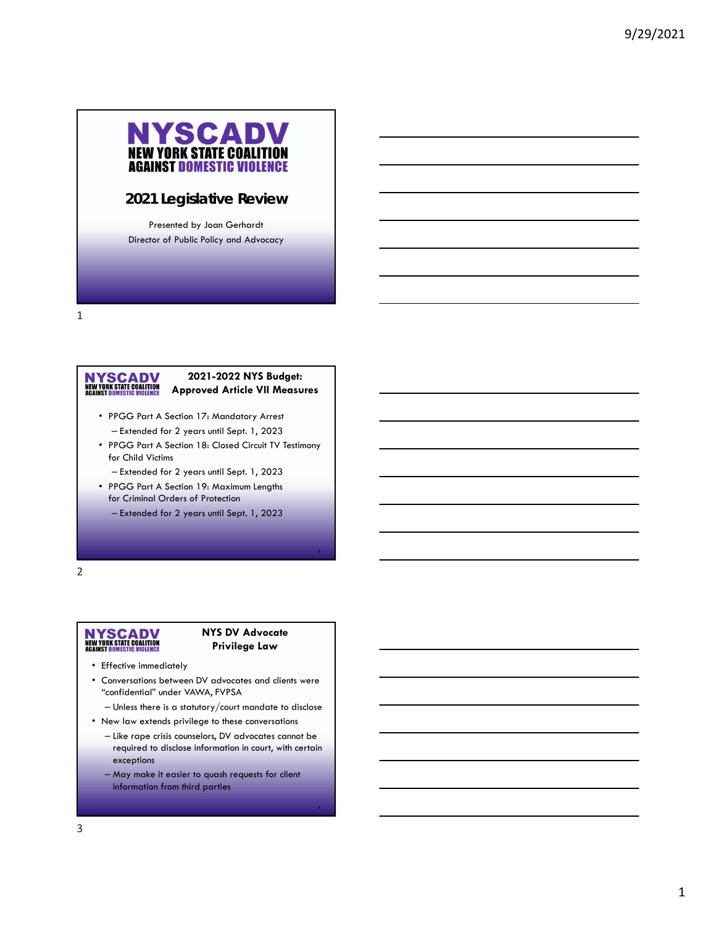

### **2021 Legislative Review**

Presented by Joan Gerhardt Director of Public Policy and Advocacy

1

# NYSCADV<br>NEW YORK STATE COALITION<br>AGAINST DOMESTIC VIOLENCE

#### **2021-2022 NYS Budget: Approved Article VII Measures**

- PPGG Part A Section 17: Mandatory Arrest – Extended for 2 years until Sept. 1, 2023
- PPGG Part A Section 18: Closed Circuit TV Testimony for Child Victims
	- Extended for 2 years until Sept. 1, 2023
- PPGG Part A Section 19: Maximum Lengths for Criminal Orders of Protection

– Extended for 2 years until Sept. 1, 2023

2

# NYSCADV<br>NEW YORK STATE COALITION<br>AGAINST DOMESTIC VIOLENCE

#### **NYS DV Advocate Privilege Law**

- Effective immediately
- Conversations between DV advocates and clients were "confidential" under VAWA, FVPSA
	- Unless there is a statutory/court mandate to disclose
- New law extends privilege to these conversations
	- Like rape crisis counselors, DV advocates cannot be required to disclose information in court, with certain exceptions
	- May make it easier to quash requests for client information from third parties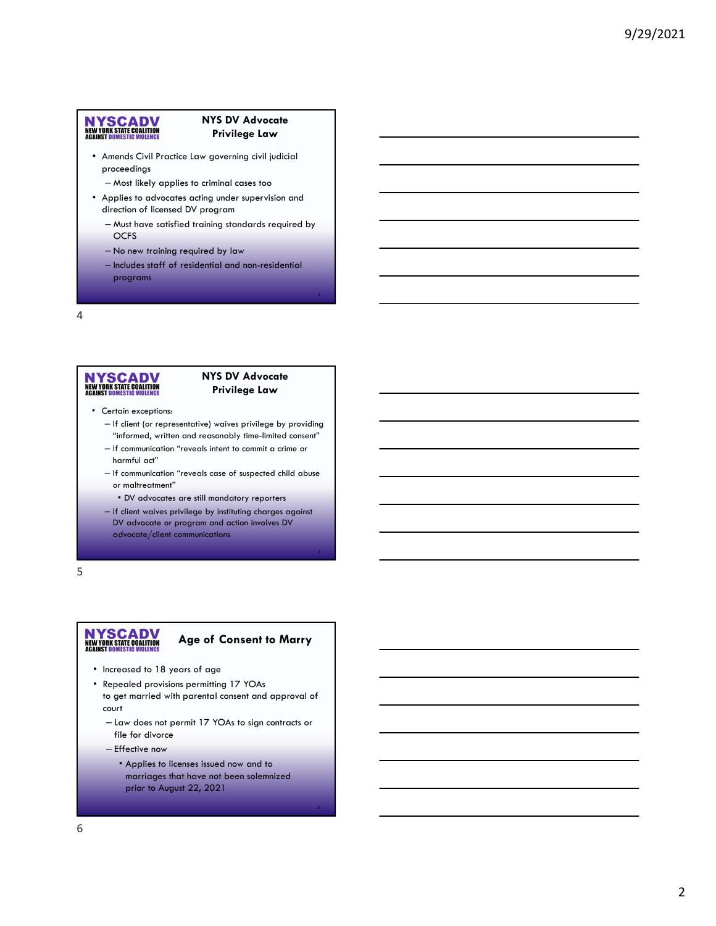#### **NYS DV Advocate Privilege Law**

- Amends Civil Practice Law governing civil judicial proceedings
	- Most likely applies to criminal cases too
- Applies to advocates acting under supervision and direction of licensed DV program
	- Must have satisfied training standards required by **OCFS**
	- No new training required by law
	- Includes staff of residential and non-residential programs

4

# NYSCADV<br>NEW YORK STATE COALITION<br>AGAINST DOMESTIC VIOLENCE

#### **NYS DV Advocate Privilege Law**

- Certain exceptions:
	- If client (or representative) waives privilege by providing "informed, written and reasonably time-limited consent"
	- If communication "reveals intent to commit a crime or harmful act"
	- If communication "reveals case of suspected child abuse or maltreatment"
		- DV advocates are still mandatory reporters
	- If client waives privilege by instituting charges against DV advocate or program and action involves DV advocate/client communications

5

# NYSCADV<br>NEW YORK STATE COALITION<br>AGAINST DOMESTIC VIOLENCE

#### **Age of Consent to Marry**

- Increased to 18 years of age
- Repealed provisions permitting 17 YOAs to get married with parental consent and approval of court
	- Law does not permit 17 YOAs to sign contracts or file for divorce
	- Effective now
		- Applies to licenses issued now and to marriages that have not been solemnized prior to August 22, 2021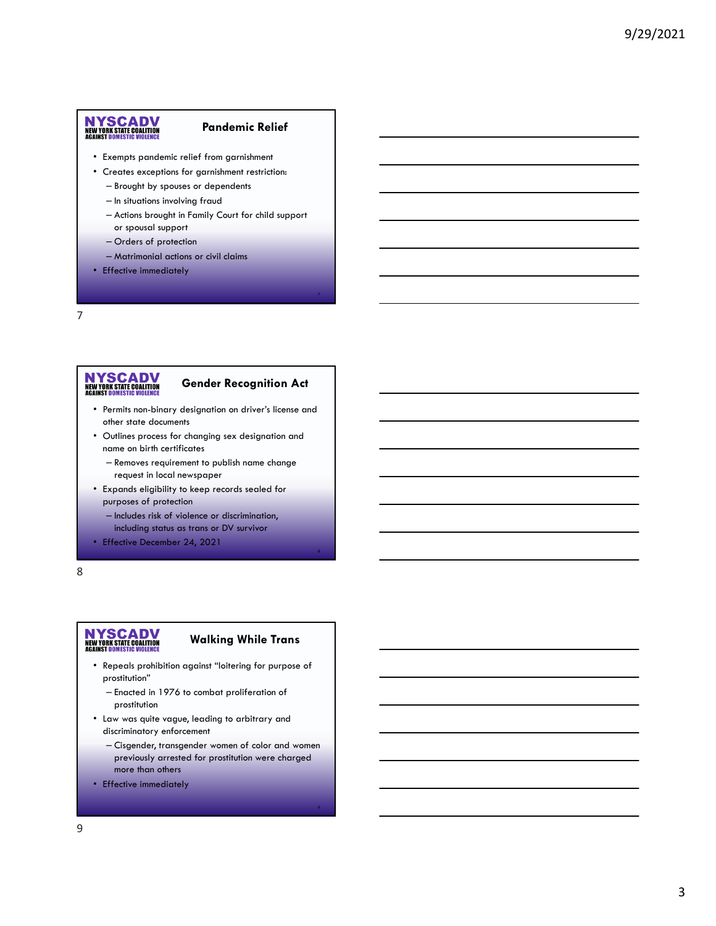#### **Pandemic Relief**

- Exempts pandemic relief from garnishment
- Creates exceptions for garnishment restriction:
	- Brought by spouses or dependents
	- In situations involving fraud
	- Actions brought in Family Court for child support or spousal support
	- Orders of protection
	- Matrimonial actions or civil claims
- Effective immediately

7

# NYSCADV<br>NEW YORK STATE COALITION<br>AGAINST DOMESTIC VIOLENCE

#### **Gender Recognition Act**

- Permits non-binary designation on driver's license and other state documents
- Outlines process for changing sex designation and name on birth certificates
	- Removes requirement to publish name change request in local newspaper
- Expands eligibility to keep records sealed for purposes of protection
	- Includes risk of violence or discrimination, including status as trans or DV survivor
- Effective December 24, 2021

#### 8

# NYSCADV<br>NEW YORK STATE COALITION<br>AGAINST DOMESTIC VIOLENCE

#### **Walking While Trans**

- Repeals prohibition against "loitering for purpose of prostitution"
	- Enacted in 1976 to combat proliferation of prostitution
- Law was quite vague, leading to arbitrary and discriminatory enforcement
	- Cisgender, transgender women of color and women previously arrested for prostitution were charged more than others
- Effective immediately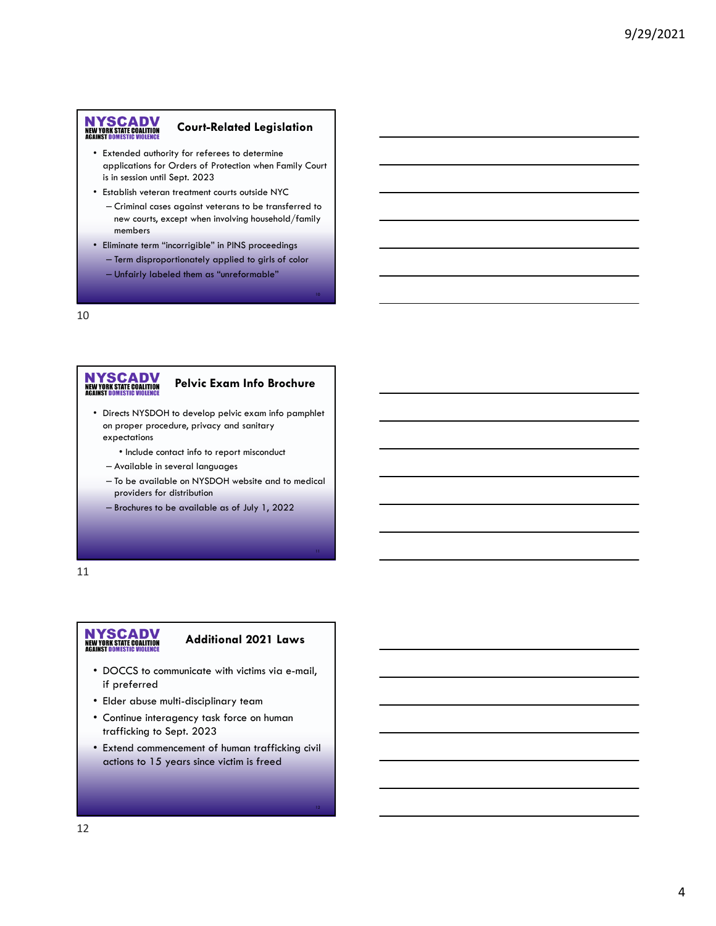#### **Court-Related Legislation**

- Extended authority for referees to determine applications for Orders of Protection when Family Court is in session until Sept. 2023
- Establish veteran treatment courts outside NYC
	- Criminal cases against veterans to be transferred to new courts, except when involving household/family members
- Eliminate term "incorrigible" in PINS proceedings – Term disproportionately applied to girls of color
	- Unfairly labeled them as "unreformable"

#### 10

# NYSCADV<br>NEW YORK STATE COALITION<br>AGAINST DOMESTIC VIOLENCE

#### **Pelvic Exam Info Brochure**

- Directs NYSDOH to develop pelvic exam info pamphlet on proper procedure, privacy and sanitary expectations
	- Include contact info to report misconduct
	- Available in several languages
	- To be available on NYSDOH website and to medical providers for distribution
	- Brochures to be available as of July 1, 2022

#### 11

# NYSCADV<br>NEW YORK STATE COALITION<br>AGAINST DOMESTIC VIOLENCE

#### **Additional 2021 Laws**

- DOCCS to communicate with victims via e-mail, if preferred
- Elder abuse multi-disciplinary team
- Continue interagency task force on human trafficking to Sept. 2023
- Extend commencement of human trafficking civil actions to 15 years since victim is freed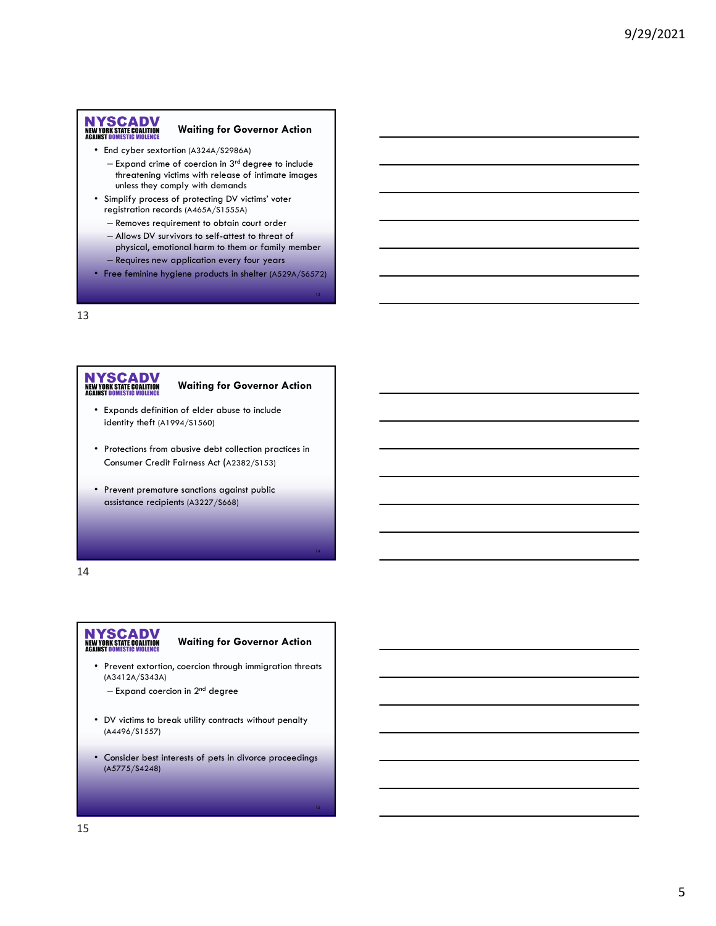#### **Waiting for Governor Action**

- End cyber sextortion (A324A/S2986A)
	- $-$  Expand crime of coercion in  $3<sup>rd</sup>$  degree to include threatening victims with release of intimate images unless they comply with demands
- Simplify process of protecting DV victims' voter registration records (A465A/S1555A)
	- Removes requirement to obtain court order
	- Allows DV survivors to self-attest to threat of physical, emotional harm to them or family member
	- Requires new application every four years
- Free feminine hygiene products in shelter (A529A/S6572)

13

# NYSCADV<br>NEW YORK STATE COALITION<br>AGAINST DOMESTIC VIOLENCE

#### **Waiting for Governor Action**

- Expands definition of elder abuse to include identity theft (A1994/S1560)
- Protections from abusive debt collection practices in Consumer Credit Fairness Act (A2382/S153)
- Prevent premature sanctions against public assistance recipients (A3227/S668)

14

# NYSCADV<br>NEW YORK STATE COALITION<br>AGAINST DOMESTIC VIOLENCE

#### **Waiting for Governor Action**

- Prevent extortion, coercion through immigration threats (A3412A/S343A)
	- $-$  Expand coercion in  $2<sup>nd</sup>$  degree
- DV victims to break utility contracts without penalty (A4496/S1557)
- Consider best interests of pets in divorce proceedings (A5775/S4248)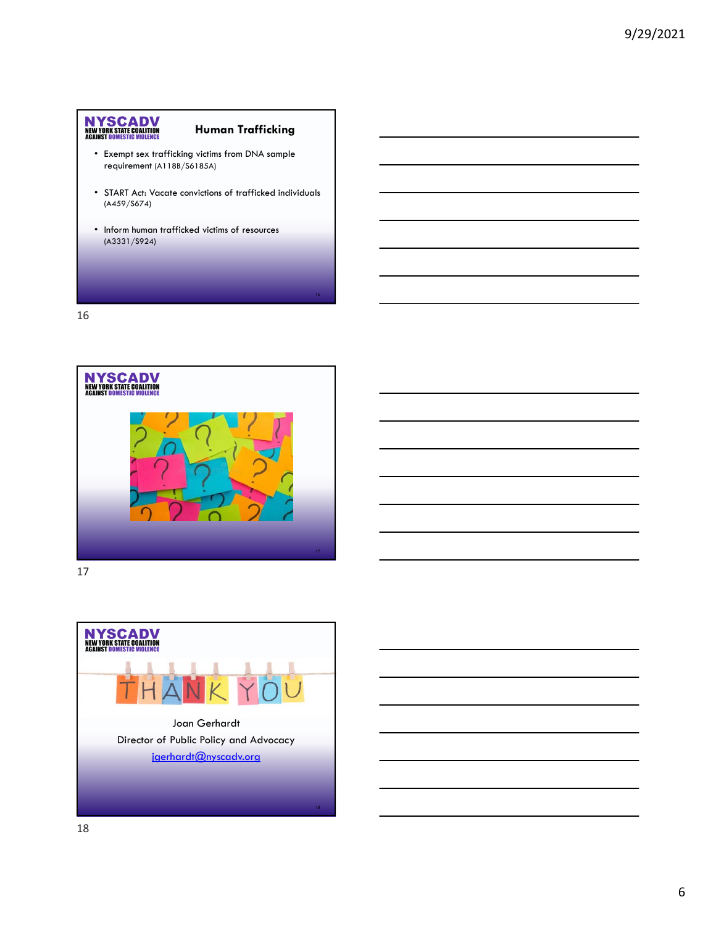#### **Human Trafficking**

- Exempt sex trafficking victims from DNA sample requirement (A118B/S6185A)
- START Act: Vacate convictions of trafficked individuals (A459/S674)
- Inform human trafficked victims of resources (A3331/S924)

16



17

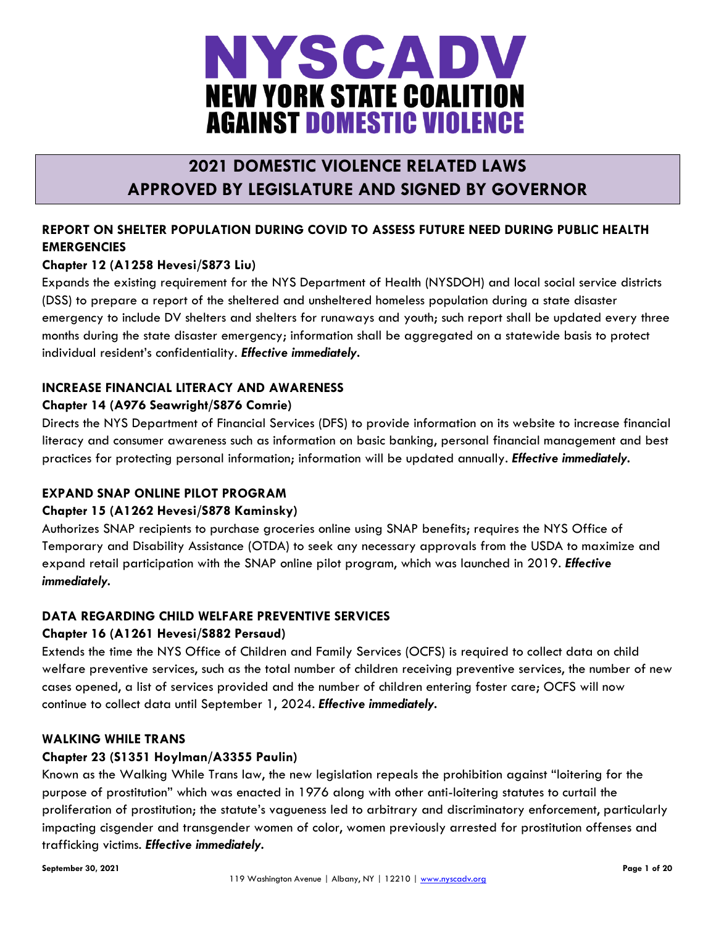

## **2021 DOMESTIC VIOLENCE RELATED LAWS APPROVED BY LEGISLATURE AND SIGNED BY GOVERNOR**

### **REPORT ON SHELTER POPULATION DURING COVID TO ASSESS FUTURE NEED DURING PUBLIC HEALTH EMERGENCIES**

### **Chapter 12 (A1258 Hevesi/S873 Liu)**

Expands the existing requirement for the NYS Department of Health (NYSDOH) and local social service districts (DSS) to prepare a report of the sheltered and unsheltered homeless population during a state disaster emergency to include DV shelters and shelters for runaways and youth; such report shall be updated every three months during the state disaster emergency; information shall be aggregated on a statewide basis to protect individual resident's confidentiality. *Effective immediately.*

#### **INCREASE FINANCIAL LITERACY AND AWARENESS**

#### **Chapter 14 (A976 Seawright/S876 Comrie)**

Directs the NYS Department of Financial Services (DFS) to provide information on its website to increase financial literacy and consumer awareness such as information on basic banking, personal financial management and best practices for protecting personal information; information will be updated annually. *Effective immediately.*

#### **EXPAND SNAP ONLINE PILOT PROGRAM**

#### **Chapter 15 (A1262 Hevesi/S878 Kaminsky)**

Authorizes SNAP recipients to purchase groceries online using SNAP benefits; requires the NYS Office of Temporary and Disability Assistance (OTDA) to seek any necessary approvals from the USDA to maximize and expand retail participation with the SNAP online pilot program, which was launched in 2019. *Effective immediately.*

#### **DATA REGARDING CHILD WELFARE PREVENTIVE SERVICES**

#### **Chapter 16 (A1261 Hevesi/S882 Persaud)**

Extends the time the NYS Office of Children and Family Services (OCFS) is required to collect data on child welfare preventive services, such as the total number of children receiving preventive services, the number of new cases opened, a list of services provided and the number of children entering foster care; OCFS will now continue to collect data until September 1, 2024. *Effective immediately.*

#### **WALKING WHILE TRANS**

#### **Chapter 23 (S1351 Hoylman/A3355 Paulin)**

Known as the Walking While Trans law, the new legislation repeals the prohibition against "loitering for the purpose of prostitution" which was enacted in 1976 along with other anti-loitering statutes to curtail the proliferation of prostitution; the statute's vagueness led to arbitrary and discriminatory enforcement, particularly impacting cisgender and transgender women of color, women previously arrested for prostitution offenses and trafficking victims. *Effective immediately.*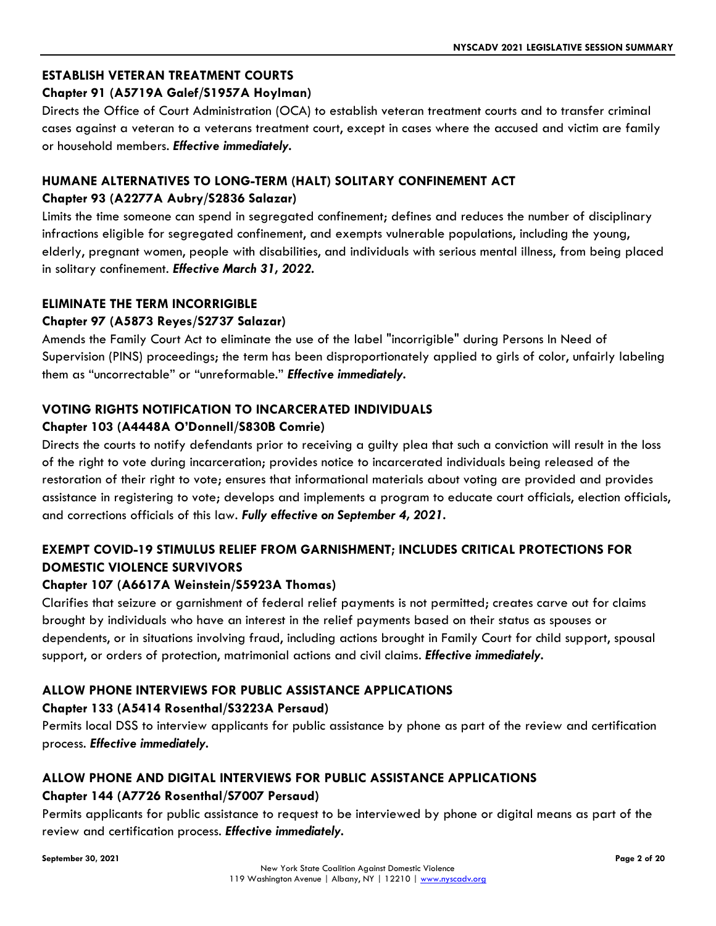### **ESTABLISH VETERAN TREATMENT COURTS**

#### **Chapter 91 (A5719A Galef/S1957A Hoylman)**

Directs the Office of Court Administration (OCA) to establish veteran treatment courts and to transfer criminal cases against a veteran to a veterans treatment court, except in cases where the accused and victim are family or household members. *Effective immediately.*

#### **HUMANE ALTERNATIVES TO LONG-TERM (HALT) SOLITARY CONFINEMENT ACT Chapter 93 (A2277A Aubry/S2836 Salazar)**

Limits the time someone can spend in segregated confinement; defines and reduces the number of disciplinary infractions eligible for segregated confinement, and exempts vulnerable populations, including the young, elderly, pregnant women, people with disabilities, and individuals with serious mental illness, from being placed in solitary confinement. *Effective March 31, 2022.*

#### **ELIMINATE THE TERM INCORRIGIBLE**

#### **Chapter 97 (A5873 Reyes/S2737 Salazar)**

Amends the Family Court Act to eliminate the use of the label "incorrigible" during Persons In Need of Supervision (PINS) proceedings; the term has been disproportionately applied to girls of color, unfairly labeling them as "uncorrectable" or "unreformable." *Effective immediately.*

#### **VOTING RIGHTS NOTIFICATION TO INCARCERATED INDIVIDUALS**

#### **Chapter 103 (A4448A O'Donnell/S830B Comrie)**

Directs the courts to notify defendants prior to receiving a guilty plea that such a conviction will result in the loss of the right to vote during incarceration; provides notice to incarcerated individuals being released of the restoration of their right to vote; ensures that informational materials about voting are provided and provides assistance in registering to vote; develops and implements a program to educate court officials, election officials, and corrections officials of this law. *Fully effective on September 4, 2021.*

### **EXEMPT COVID-19 STIMULUS RELIEF FROM GARNISHMENT; INCLUDES CRITICAL PROTECTIONS FOR DOMESTIC VIOLENCE SURVIVORS**

#### **Chapter 107 (A6617A Weinstein/S5923A Thomas)**

Clarifies that seizure or garnishment of federal relief payments is not permitted; creates carve out for claims brought by individuals who have an interest in the relief payments based on their status as spouses or dependents, or in situations involving fraud, including actions brought in Family Court for child support, spousal support, or orders of protection, matrimonial actions and civil claims. *Effective immediately.*

#### **ALLOW PHONE INTERVIEWS FOR PUBLIC ASSISTANCE APPLICATIONS**

#### **Chapter 133 (A5414 Rosenthal/S3223A Persaud)**

Permits local DSS to interview applicants for public assistance by phone as part of the review and certification process. *Effective immediately.*

### **ALLOW PHONE AND DIGITAL INTERVIEWS FOR PUBLIC ASSISTANCE APPLICATIONS Chapter 144 (A7726 Rosenthal/S7007 Persaud)**

Permits applicants for public assistance to request to be interviewed by phone or digital means as part of the review and certification process. *Effective immediately.*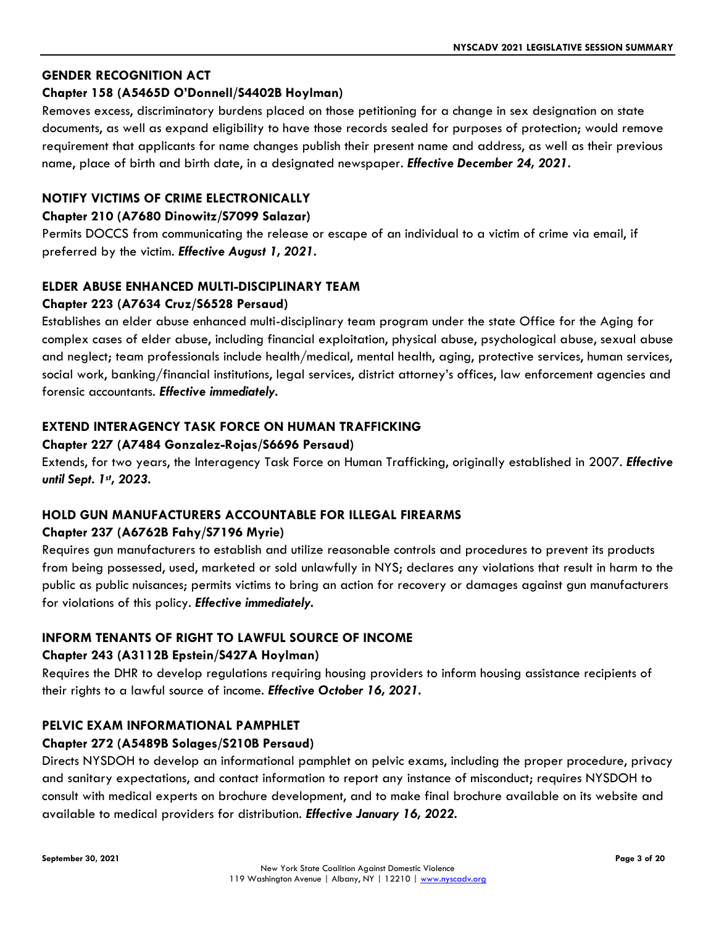#### **GENDER RECOGNITION ACT**

#### **Chapter 158 (A5465D O'Donnell/S4402B Hoylman)**

Removes excess, discriminatory burdens placed on those petitioning for a change in sex designation on state documents, as well as expand eligibility to have those records sealed for purposes of protection; would remove requirement that applicants for name changes publish their present name and address, as well as their previous name, place of birth and birth date, in a designated newspaper. *Effective December 24, 2021.*

#### **NOTIFY VICTIMS OF CRIME ELECTRONICALLY**

#### **Chapter 210 (A7680 Dinowitz/S7099 Salazar)**

Permits DOCCS from communicating the release or escape of an individual to a victim of crime via email, if preferred by the victim. *Effective August 1, 2021.*

### **ELDER ABUSE ENHANCED MULTI-DISCIPLINARY TEAM**

#### **Chapter 223 (A7634 Cruz/S6528 Persaud)**

Establishes an elder abuse enhanced multi-disciplinary team program under the state Office for the Aging for complex cases of elder abuse, including financial exploitation, physical abuse, psychological abuse, sexual abuse and neglect; team professionals include health/medical, mental health, aging, protective services, human services, social work, banking/financial institutions, legal services, district attorney's offices, law enforcement agencies and forensic accountants. *Effective immediately.*

#### **EXTEND INTERAGENCY TASK FORCE ON HUMAN TRAFFICKING**

#### **Chapter 227 (A7484 Gonzalez-Rojas/S6696 Persaud)**

Extends, for two years, the Interagency Task Force on Human Trafficking, originally established in 2007. *Effective until Sept. 1st , 2023.*

#### **HOLD GUN MANUFACTURERS ACCOUNTABLE FOR ILLEGAL FIREARMS**

#### **Chapter 237 (A6762B Fahy/S7196 Myrie)**

Requires gun manufacturers to establish and utilize reasonable controls and procedures to prevent its products from being possessed, used, marketed or sold unlawfully in NYS; declares any violations that result in harm to the public as public nuisances; permits victims to bring an action for recovery or damages against gun manufacturers for violations of this policy. *Effective immediately.*

#### **INFORM TENANTS OF RIGHT TO LAWFUL SOURCE OF INCOME**

#### **Chapter 243 (A3112B Epstein/S427A Hoylman)**

Requires the DHR to develop regulations requiring housing providers to inform housing assistance recipients of their rights to a lawful source of income. *Effective October 16, 2021.*

#### **PELVIC EXAM INFORMATIONAL PAMPHLET**

#### **Chapter 272 (A5489B Solages/S210B Persaud)**

Directs NYSDOH to develop an informational pamphlet on pelvic exams, including the proper procedure, privacy and sanitary expectations, and contact information to report any instance of misconduct; requires NYSDOH to consult with medical experts on brochure development, and to make final brochure available on its website and available to medical providers for distribution. *Effective January 16, 2022.*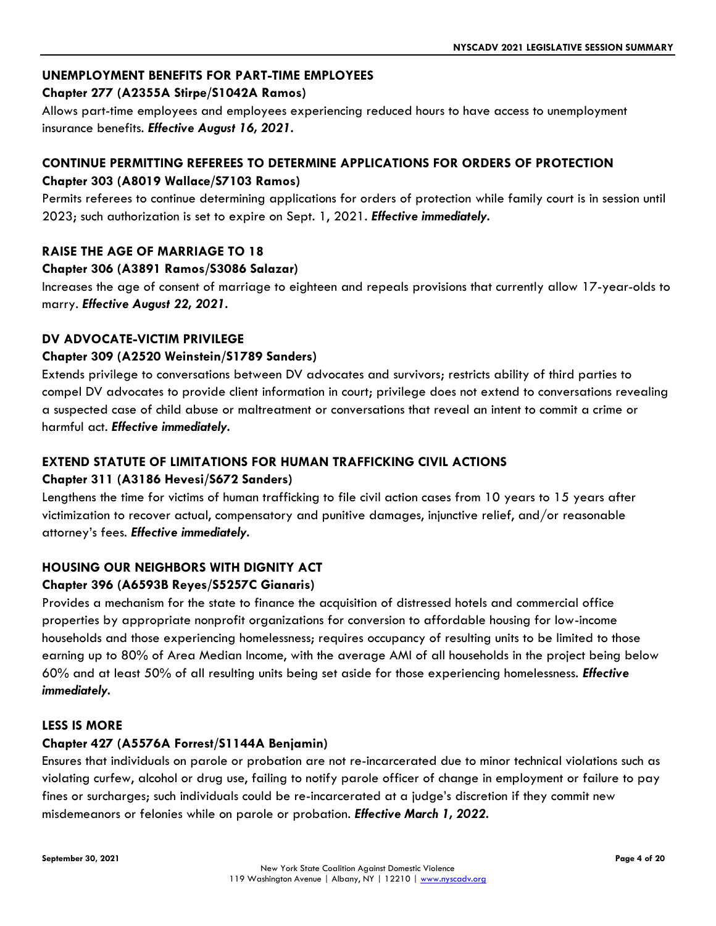#### **UNEMPLOYMENT BENEFITS FOR PART-TIME EMPLOYEES**

#### **Chapter 277 (A2355A Stirpe/S1042A Ramos)**

Allows part-time employees and employees experiencing reduced hours to have access to unemployment insurance benefits. *Effective August 16, 2021.*

#### **CONTINUE PERMITTING REFEREES TO DETERMINE APPLICATIONS FOR ORDERS OF PROTECTION Chapter 303 (A8019 Wallace/S7103 Ramos)**

Permits referees to continue determining applications for orders of protection while family court is in session until 2023; such authorization is set to expire on Sept. 1, 2021. *Effective immediately.*

#### **RAISE THE AGE OF MARRIAGE TO 18**

#### **Chapter 306 (A3891 Ramos/S3086 Salazar)**

Increases the age of consent of marriage to eighteen and repeals provisions that currently allow 17-year-olds to marry. *Effective August 22, 2021.*

#### **DV ADVOCATE-VICTIM PRIVILEGE**

#### **Chapter 309 (A2520 Weinstein/S1789 Sanders)**

Extends privilege to conversations between DV advocates and survivors; restricts ability of third parties to compel DV advocates to provide client information in court; privilege does not extend to conversations revealing a suspected case of child abuse or maltreatment or conversations that reveal an intent to commit a crime or harmful act. *Effective immediately.*

#### **EXTEND STATUTE OF LIMITATIONS FOR HUMAN TRAFFICKING CIVIL ACTIONS**

#### **Chapter 311 (A3186 Hevesi/S672 Sanders)**

Lengthens the time for victims of human trafficking to file civil action cases from 10 years to 15 years after victimization to recover actual, compensatory and punitive damages, injunctive relief, and/or reasonable attorney's fees. *Effective immediately.*

#### **HOUSING OUR NEIGHBORS WITH DIGNITY ACT**

#### **Chapter 396 (A6593B Reyes/S5257C Gianaris)**

Provides a mechanism for the state to finance the acquisition of distressed hotels and commercial office properties by appropriate nonprofit organizations for conversion to affordable housing for low-income households and those experiencing homelessness; requires occupancy of resulting units to be limited to those earning up to 80% of Area Median Income, with the average AMI of all households in the project being below 60% and at least 50% of all resulting units being set aside for those experiencing homelessness. *Effective immediately.*

#### **LESS IS MORE**

#### **Chapter 427 (A5576A Forrest/S1144A Benjamin)**

Ensures that individuals on parole or probation are not re-incarcerated due to minor technical violations such as violating curfew, alcohol or drug use, failing to notify parole officer of change in employment or failure to pay fines or surcharges; such individuals could be re-incarcerated at a judge's discretion if they commit new misdemeanors or felonies while on parole or probation. *Effective March 1, 2022.*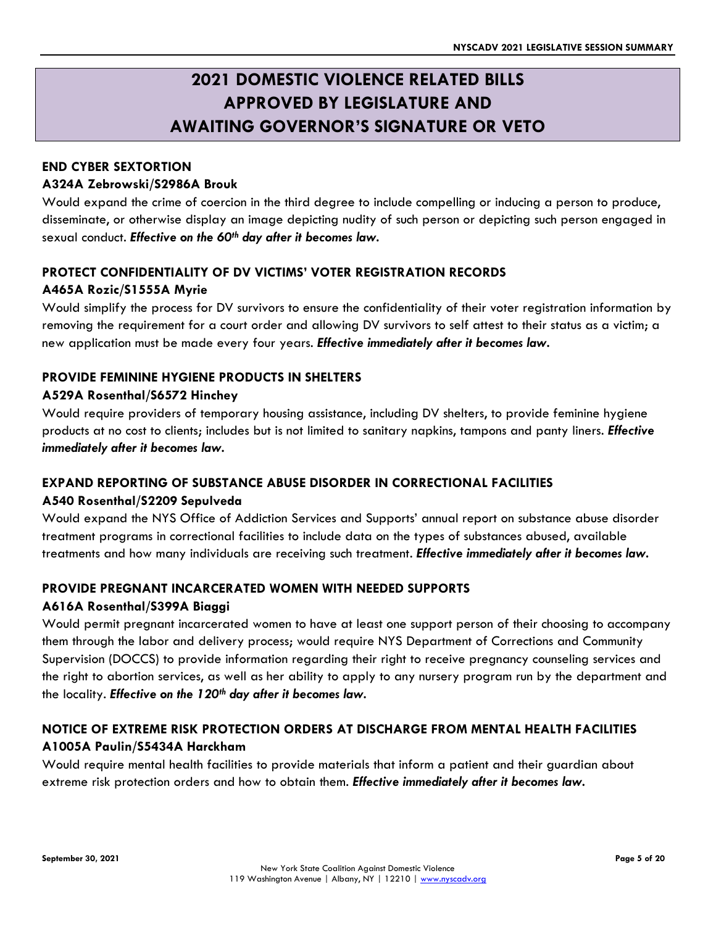## **2021 DOMESTIC VIOLENCE RELATED BILLS APPROVED BY LEGISLATURE AND AWAITING GOVERNOR'S SIGNATURE OR VETO**

#### **END CYBER SEXTORTION**

#### **A324A Zebrowski/S2986A Brouk**

Would expand the crime of coercion in the third degree to include compelling or inducing a person to produce, disseminate, or otherwise display an image depicting nudity of such person or depicting such person engaged in sexual conduct. *Effective on the 60th day after it becomes law.* 

#### **PROTECT CONFIDENTIALITY OF DV VICTIMS' VOTER REGISTRATION RECORDS A465A Rozic/S1555A Myrie**

Would simplify the process for DV survivors to ensure the confidentiality of their voter registration information by removing the requirement for a court order and allowing DV survivors to self attest to their status as a victim; a new application must be made every four years. *Effective immediately after it becomes law.*

#### **PROVIDE FEMININE HYGIENE PRODUCTS IN SHELTERS**

#### **A529A Rosenthal/S6572 Hinchey**

Would require providers of temporary housing assistance, including DV shelters, to provide feminine hygiene products at no cost to clients; includes but is not limited to sanitary napkins, tampons and panty liners. *Effective immediately after it becomes law.*

#### **EXPAND REPORTING OF SUBSTANCE ABUSE DISORDER IN CORRECTIONAL FACILITIES**

#### **A540 Rosenthal/S2209 Sepulveda**

Would expand the NYS Office of Addiction Services and Supports' annual report on substance abuse disorder treatment programs in correctional facilities to include data on the types of substances abused, available treatments and how many individuals are receiving such treatment. *Effective immediately after it becomes law.*

#### **PROVIDE PREGNANT INCARCERATED WOMEN WITH NEEDED SUPPORTS**

#### **A616A Rosenthal/S399A Biaggi**

Would permit pregnant incarcerated women to have at least one support person of their choosing to accompany them through the labor and delivery process; would require NYS Department of Corrections and Community Supervision (DOCCS) to provide information regarding their right to receive pregnancy counseling services and the right to abortion services, as well as her ability to apply to any nursery program run by the department and the locality. *Effective on the 120th day after it becomes law.*

### **NOTICE OF EXTREME RISK PROTECTION ORDERS AT DISCHARGE FROM MENTAL HEALTH FACILITIES A1005A Paulin/S5434A Harckham**

Would require mental health facilities to provide materials that inform a patient and their guardian about extreme risk protection orders and how to obtain them. *Effective immediately after it becomes law.*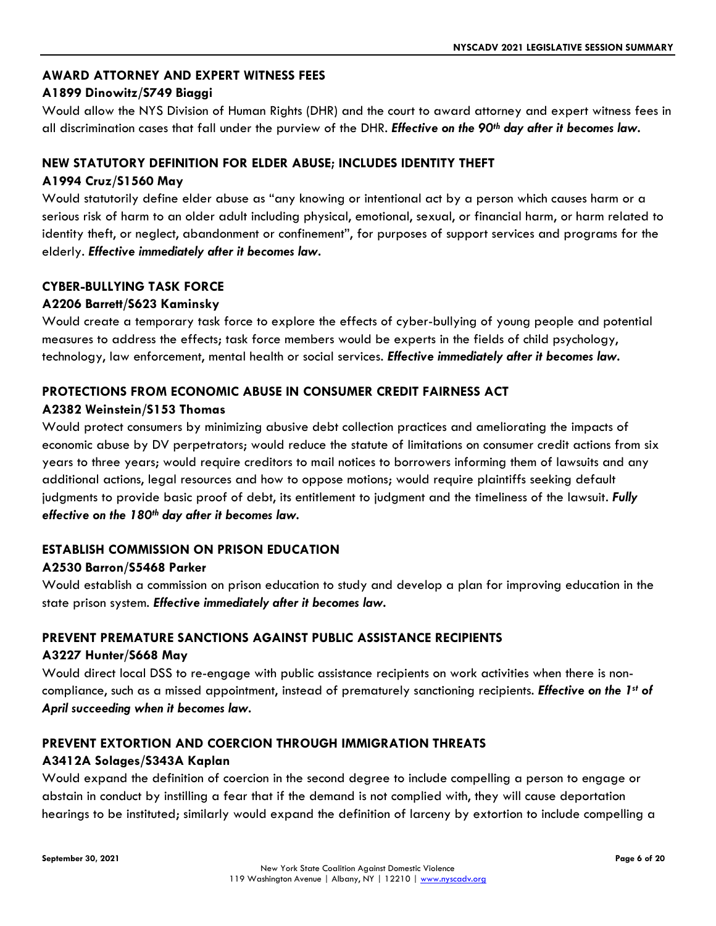#### **AWARD ATTORNEY AND EXPERT WITNESS FEES**

#### **A1899 Dinowitz/S749 Biaggi**

Would allow the NYS Division of Human Rights (DHR) and the court to award attorney and expert witness fees in all discrimination cases that fall under the purview of the DHR. *Effective on the 90th day after it becomes law.*

#### **NEW STATUTORY DEFINITION FOR ELDER ABUSE; INCLUDES IDENTITY THEFT**

#### **A1994 Cruz/S1560 May**

Would statutorily define elder abuse as "any knowing or intentional act by a person which causes harm or a serious risk of harm to an older adult including physical, emotional, sexual, or financial harm, or harm related to identity theft, or neglect, abandonment or confinement", for purposes of support services and programs for the elderly. *Effective immediately after it becomes law.*

#### **CYBER-BULLYING TASK FORCE**

#### **A2206 Barrett/S623 Kaminsky**

Would create a temporary task force to explore the effects of cyber-bullying of young people and potential measures to address the effects; task force members would be experts in the fields of child psychology, technology, law enforcement, mental health or social services. *Effective immediately after it becomes law.*

#### **PROTECTIONS FROM ECONOMIC ABUSE IN CONSUMER CREDIT FAIRNESS ACT**

#### **A2382 Weinstein/S153 Thomas**

Would protect consumers by minimizing abusive debt collection practices and ameliorating the impacts of economic abuse by DV perpetrators; would reduce the statute of limitations on consumer credit actions from six years to three years; would require creditors to mail notices to borrowers informing them of lawsuits and any additional actions, legal resources and how to oppose motions; would require plaintiffs seeking default judgments to provide basic proof of debt, its entitlement to judgment and the timeliness of the lawsuit. *Fully effective on the 180th day after it becomes law.*

#### **ESTABLISH COMMISSION ON PRISON EDUCATION**

#### **A2530 Barron/S5468 Parker**

Would establish a commission on prison education to study and develop a plan for improving education in the state prison system. *Effective immediately after it becomes law.*

#### **PREVENT PREMATURE SANCTIONS AGAINST PUBLIC ASSISTANCE RECIPIENTS**

#### **A3227 Hunter/S668 May**

Would direct local DSS to re-engage with public assistance recipients on work activities when there is noncompliance, such as a missed appointment, instead of prematurely sanctioning recipients. *Effective on the 1st of April succeeding when it becomes law.*

#### **PREVENT EXTORTION AND COERCION THROUGH IMMIGRATION THREATS**

#### **A3412A Solages/S343A Kaplan**

Would expand the definition of coercion in the second degree to include compelling a person to engage or abstain in conduct by instilling a fear that if the demand is not complied with, they will cause deportation hearings to be instituted; similarly would expand the definition of larceny by extortion to include compelling a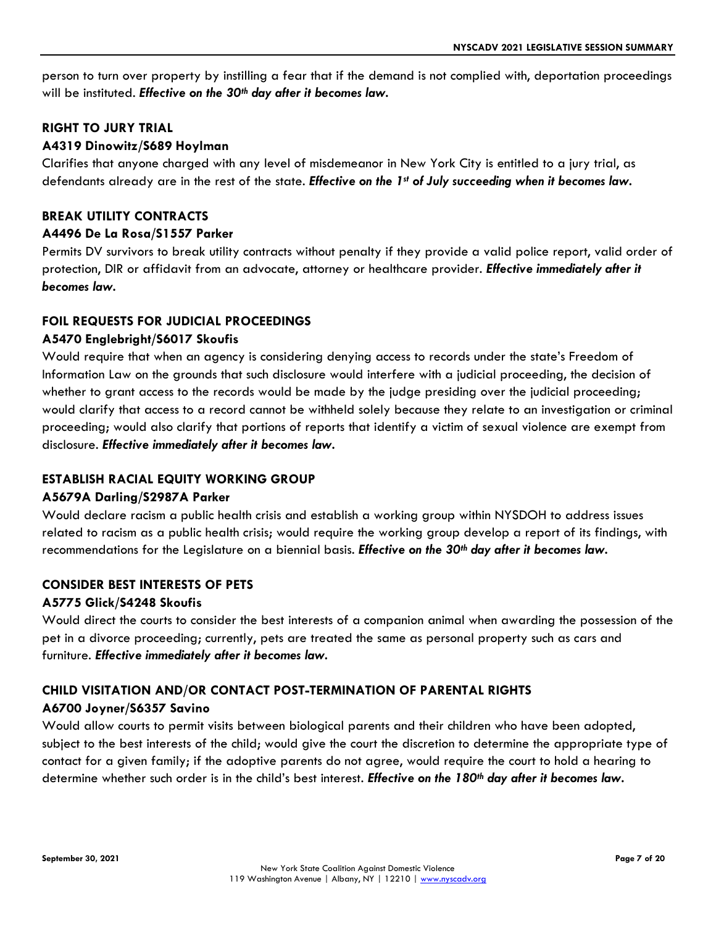person to turn over property by instilling a fear that if the demand is not complied with, deportation proceedings will be instituted. *Effective on the 30th day after it becomes law.*

#### **RIGHT TO JURY TRIAL**

#### **A4319 Dinowitz/S689 Hoylman**

Clarifies that anyone charged with any level of misdemeanor in New York City is entitled to a jury trial, as defendants already are in the rest of the state. *Effective on the 1st of July succeeding when it becomes law.*

#### **BREAK UTILITY CONTRACTS**

#### **A4496 De La Rosa/S1557 Parker**

Permits DV survivors to break utility contracts without penalty if they provide a valid police report, valid order of protection, DIR or affidavit from an advocate, attorney or healthcare provider. *Effective immediately after it becomes law.*

#### **FOIL REQUESTS FOR JUDICIAL PROCEEDINGS**

#### **A5470 Englebright/S6017 Skoufis**

Would require that when an agency is considering denying access to records under the state's Freedom of Information Law on the grounds that such disclosure would interfere with a judicial proceeding, the decision of whether to grant access to the records would be made by the judge presiding over the judicial proceeding; would clarify that access to a record cannot be withheld solely because they relate to an investigation or criminal proceeding; would also clarify that portions of reports that identify a victim of sexual violence are exempt from disclosure. *Effective immediately after it becomes law.*

#### **ESTABLISH RACIAL EQUITY WORKING GROUP**

#### **A5679A Darling/S2987A Parker**

Would declare racism a public health crisis and establish a working group within NYSDOH to address issues related to racism as a public health crisis; would require the working group develop a report of its findings, with recommendations for the Legislature on a biennial basis. *Effective on the 30th day after it becomes law.*

#### **CONSIDER BEST INTERESTS OF PETS**

#### **A5775 Glick/S4248 Skoufis**

Would direct the courts to consider the best interests of a companion animal when awarding the possession of the pet in a divorce proceeding; currently, pets are treated the same as personal property such as cars and furniture. *Effective immediately after it becomes law.*

#### **CHILD VISITATION AND/OR CONTACT POST-TERMINATION OF PARENTAL RIGHTS A6700 Joyner/S6357 Savino**

Would allow courts to permit visits between biological parents and their children who have been adopted, subject to the best interests of the child; would give the court the discretion to determine the appropriate type of contact for a given family; if the adoptive parents do not agree, would require the court to hold a hearing to determine whether such order is in the child's best interest. *Effective on the 180th day after it becomes law.*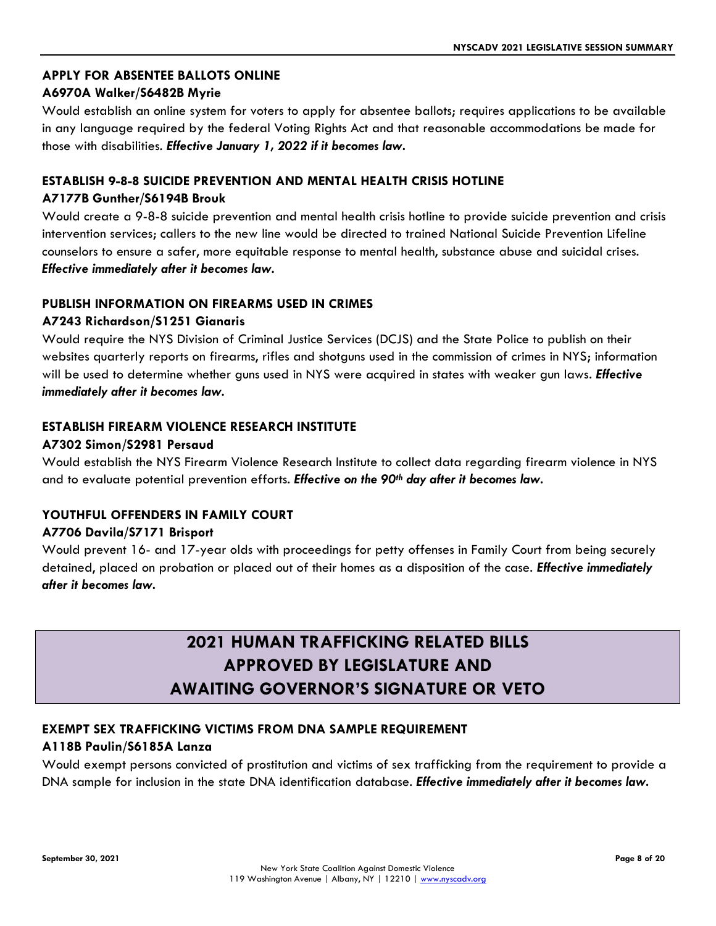#### **APPLY FOR ABSENTEE BALLOTS ONLINE**

#### **A6970A Walker/S6482B Myrie**

Would establish an online system for voters to apply for absentee ballots; requires applications to be available in any language required by the federal Voting Rights Act and that reasonable accommodations be made for those with disabilities. *Effective January 1, 2022 if it becomes law.*

### **ESTABLISH 9-8-8 SUICIDE PREVENTION AND MENTAL HEALTH CRISIS HOTLINE**

#### **A7177B Gunther/S6194B Brouk**

Would create a 9-8-8 suicide prevention and mental health crisis hotline to provide suicide prevention and crisis intervention services; callers to the new line would be directed to trained National Suicide Prevention Lifeline counselors to ensure a safer, more equitable response to mental health, substance abuse and suicidal crises. *Effective immediately after it becomes law.*

#### **PUBLISH INFORMATION ON FIREARMS USED IN CRIMES**

#### **A7243 Richardson/S1251 Gianaris**

Would require the NYS Division of Criminal Justice Services (DCJS) and the State Police to publish on their websites quarterly reports on firearms, rifles and shotguns used in the commission of crimes in NYS; information will be used to determine whether guns used in NYS were acquired in states with weaker gun laws. *Effective immediately after it becomes law.*

#### **ESTABLISH FIREARM VIOLENCE RESEARCH INSTITUTE**

#### **A7302 Simon/S2981 Persaud**

Would establish the NYS Firearm Violence Research Institute to collect data regarding firearm violence in NYS and to evaluate potential prevention efforts. *Effective on the 90th day after it becomes law.*

#### **YOUTHFUL OFFENDERS IN FAMILY COURT**

#### **A7706 Davila/S7171 Brisport**

Would prevent 16- and 17-year olds with proceedings for petty offenses in Family Court from being securely detained, placed on probation or placed out of their homes as a disposition of the case. *Effective immediately after it becomes law.* 

## **2021 HUMAN TRAFFICKING RELATED BILLS APPROVED BY LEGISLATURE AND AWAITING GOVERNOR'S SIGNATURE OR VETO**

#### **EXEMPT SEX TRAFFICKING VICTIMS FROM DNA SAMPLE REQUIREMENT**

#### **A118B Paulin/S6185A Lanza**

Would exempt persons convicted of prostitution and victims of sex trafficking from the requirement to provide a DNA sample for inclusion in the state DNA identification database. *Effective immediately after it becomes law.*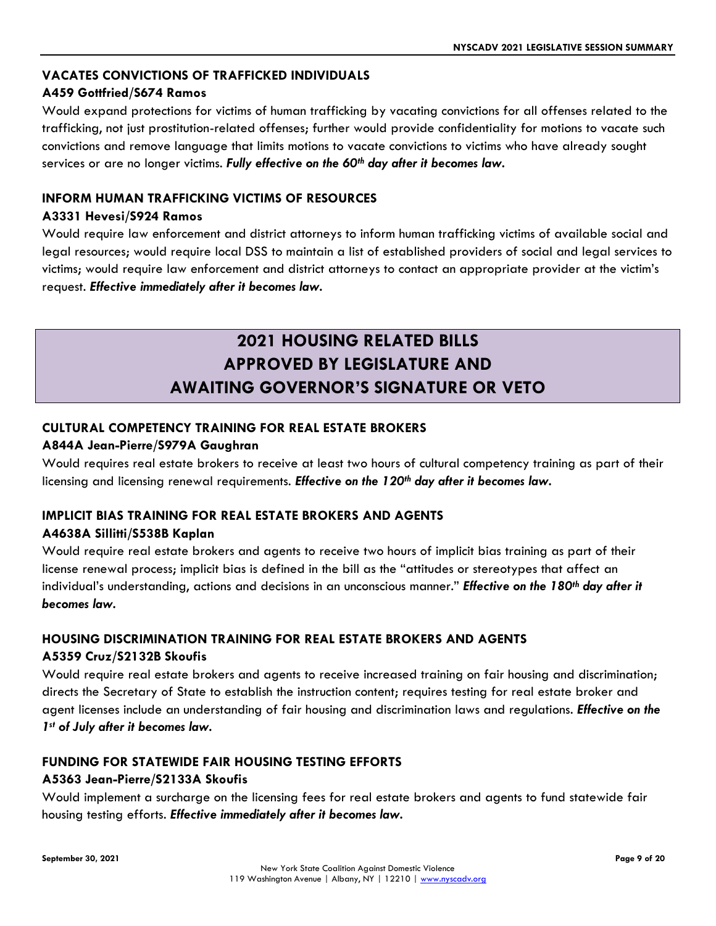#### **VACATES CONVICTIONS OF TRAFFICKED INDIVIDUALS**

#### **A459 Gottfried/S674 Ramos**

Would expand protections for victims of human trafficking by vacating convictions for all offenses related to the trafficking, not just prostitution-related offenses; further would provide confidentiality for motions to vacate such convictions and remove language that limits motions to vacate convictions to victims who have already sought services or are no longer victims. *Fully effective on the 60th day after it becomes law.*

### **INFORM HUMAN TRAFFICKING VICTIMS OF RESOURCES**

#### **A3331 Hevesi/S924 Ramos**

Would require law enforcement and district attorneys to inform human trafficking victims of available social and legal resources; would require local DSS to maintain a list of established providers of social and legal services to victims; would require law enforcement and district attorneys to contact an appropriate provider at the victim's request. *Effective immediately after it becomes law.*

## **2021 HOUSING RELATED BILLS APPROVED BY LEGISLATURE AND AWAITING GOVERNOR'S SIGNATURE OR VETO**

#### **CULTURAL COMPETENCY TRAINING FOR REAL ESTATE BROKERS**

#### **A844A Jean-Pierre/S979A Gaughran**

Would requires real estate brokers to receive at least two hours of cultural competency training as part of their licensing and licensing renewal requirements. *Effective on the 120th day after it becomes law.*

### **IMPLICIT BIAS TRAINING FOR REAL ESTATE BROKERS AND AGENTS**

#### **A4638A Sillitti/S538B Kaplan**

Would require real estate brokers and agents to receive two hours of implicit bias training as part of their license renewal process; implicit bias is defined in the bill as the "attitudes or stereotypes that affect an individual's understanding, actions and decisions in an unconscious manner." *Effective on the 180th day after it becomes law.*

#### **HOUSING DISCRIMINATION TRAINING FOR REAL ESTATE BROKERS AND AGENTS A5359 Cruz/S2132B Skoufis**

Would require real estate brokers and agents to receive increased training on fair housing and discrimination; directs the Secretary of State to establish the instruction content; requires testing for real estate broker and agent licenses include an understanding of fair housing and discrimination laws and regulations. *Effective on the 1st of July after it becomes law.*

#### **FUNDING FOR STATEWIDE FAIR HOUSING TESTING EFFORTS**

#### **A5363 Jean-Pierre/S2133A Skoufis**

Would implement a surcharge on the licensing fees for real estate brokers and agents to fund statewide fair housing testing efforts. *Effective immediately after it becomes law.*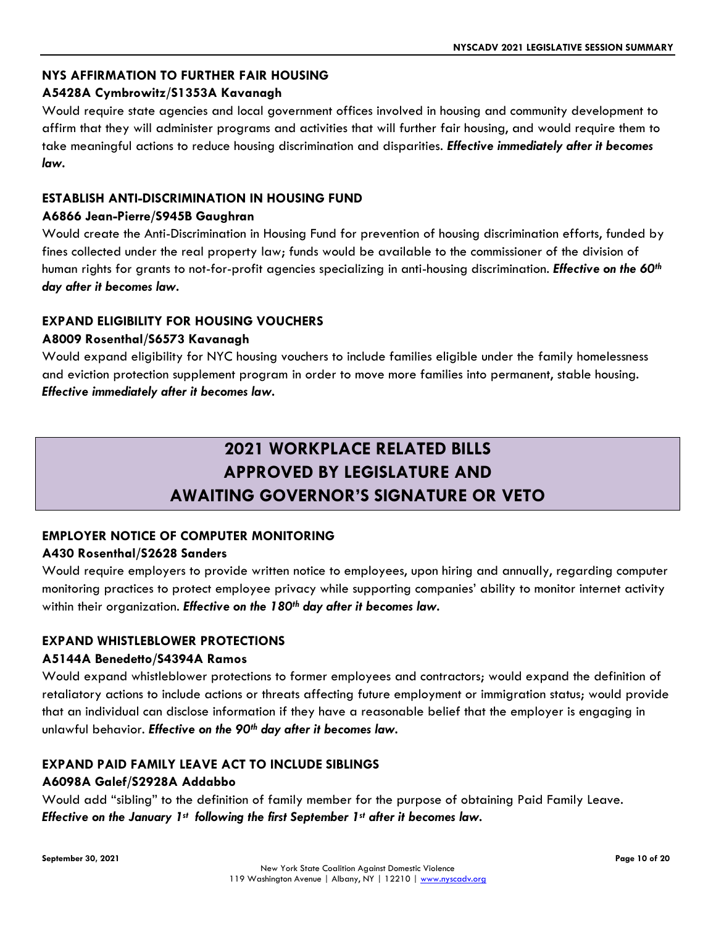#### **NYS AFFIRMATION TO FURTHER FAIR HOUSING**

#### **A5428A Cymbrowitz/S1353A Kavanagh**

Would require state agencies and local government offices involved in housing and community development to affirm that they will administer programs and activities that will further fair housing, and would require them to take meaningful actions to reduce housing discrimination and disparities. *Effective immediately after it becomes law.*

#### **ESTABLISH ANTI-DISCRIMINATION IN HOUSING FUND**

#### **A6866 Jean-Pierre/S945B Gaughran**

Would create the Anti-Discrimination in Housing Fund for prevention of housing discrimination efforts, funded by fines collected under the real property law; funds would be available to the commissioner of the division of human rights for grants to not-for-profit agencies specializing in anti-housing discrimination. *Effective on the 60th day after it becomes law.*

#### **EXPAND ELIGIBILITY FOR HOUSING VOUCHERS**

#### **A8009 Rosenthal/S6573 Kavanagh**

Would expand eligibility for NYC housing vouchers to include families eligible under the family homelessness and eviction protection supplement program in order to move more families into permanent, stable housing. *Effective immediately after it becomes law.*

# **2021 WORKPLACE RELATED BILLS APPROVED BY LEGISLATURE AND AWAITING GOVERNOR'S SIGNATURE OR VETO**

## **EMPLOYER NOTICE OF COMPUTER MONITORING**

#### **A430 Rosenthal/S2628 Sanders**

Would require employers to provide written notice to employees, upon hiring and annually, regarding computer monitoring practices to protect employee privacy while supporting companies' ability to monitor internet activity within their organization. *Effective on the 180th day after it becomes law.*

#### **EXPAND WHISTLEBLOWER PROTECTIONS**

#### **A5144A Benedetto/S4394A Ramos**

Would expand whistleblower protections to former employees and contractors; would expand the definition of retaliatory actions to include actions or threats affecting future employment or immigration status; would provide that an individual can disclose information if they have a reasonable belief that the employer is engaging in unlawful behavior. *Effective on the 90th day after it becomes law.*

## **EXPAND PAID FAMILY LEAVE ACT TO INCLUDE SIBLINGS**

#### **A6098A Galef/S2928A Addabbo**

Would add "sibling" to the definition of family member for the purpose of obtaining Paid Family Leave. *Effective on the January 1st following the first September 1st after it becomes law.*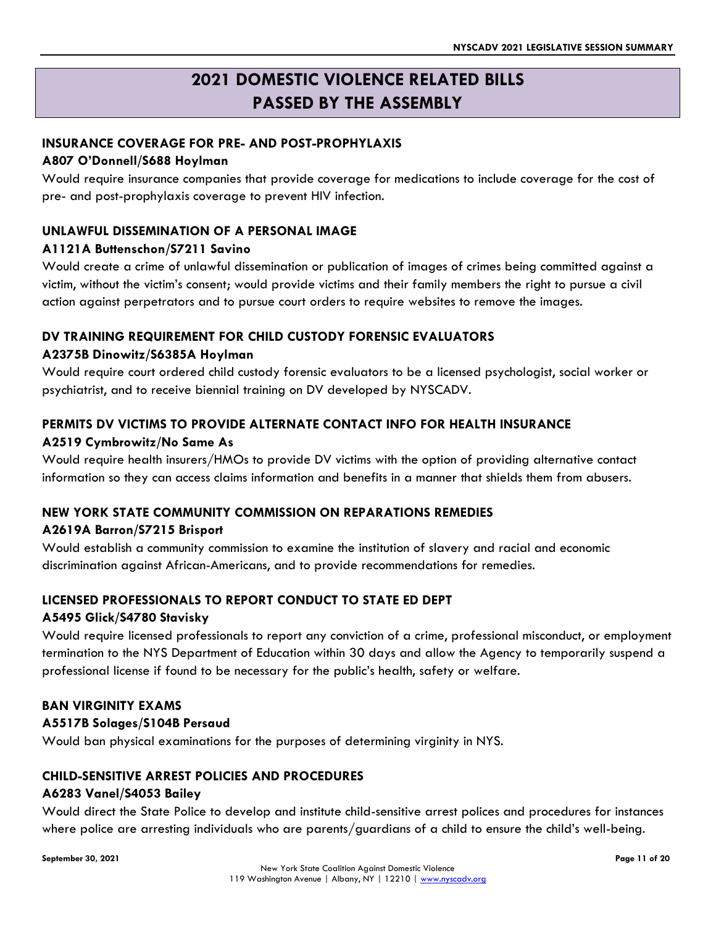## **2021 DOMESTIC VIOLENCE RELATED BILLS PASSED BY THE ASSEMBLY**

#### **INSURANCE COVERAGE FOR PRE- AND POST-PROPHYLAXIS**

#### **A807 O'Donnell/S688 Hoylman**

Would require insurance companies that provide coverage for medications to include coverage for the cost of pre- and post-prophylaxis coverage to prevent HIV infection.

#### **UNLAWFUL DISSEMINATION OF A PERSONAL IMAGE**

#### **A1121A Buttenschon/S7211 Savino**

Would create a crime of unlawful dissemination or publication of images of crimes being committed against a victim, without the victim's consent; would provide victims and their family members the right to pursue a civil action against perpetrators and to pursue court orders to require websites to remove the images.

#### **DV TRAINING REQUIREMENT FOR CHILD CUSTODY FORENSIC EVALUATORS**

#### **A2375B Dinowitz/S6385A Hoylman**

Would require court ordered child custody forensic evaluators to be a licensed psychologist, social worker or psychiatrist, and to receive biennial training on DV developed by NYSCADV.

## **PERMITS DV VICTIMS TO PROVIDE ALTERNATE CONTACT INFO FOR HEALTH INSURANCE**

#### **A2519 Cymbrowitz/No Same As**

Would require health insurers/HMOs to provide DV victims with the option of providing alternative contact information so they can access claims information and benefits in a manner that shields them from abusers.

#### **NEW YORK STATE COMMUNITY COMMISSION ON REPARATIONS REMEDIES**

#### **A2619A Barron/S7215 Brisport**

Would establish a community commission to examine the institution of slavery and racial and economic discrimination against African-Americans, and to provide recommendations for remedies.

#### **LICENSED PROFESSIONALS TO REPORT CONDUCT TO STATE ED DEPT**

#### **A5495 Glick/S4780 Stavisky**

Would require licensed professionals to report any conviction of a crime, professional misconduct, or employment termination to the NYS Department of Education within 30 days and allow the Agency to temporarily suspend a professional license if found to be necessary for the public's health, safety or welfare.

#### **BAN VIRGINITY EXAMS**

#### **A5517B Solages/S104B Persaud**

Would ban physical examinations for the purposes of determining virginity in NYS.

#### **CHILD-SENSITIVE ARREST POLICIES AND PROCEDURES**

#### **A6283 Vanel/S4053 Bailey**

Would direct the State Police to develop and institute child-sensitive arrest polices and procedures for instances where police are arresting individuals who are parents/guardians of a child to ensure the child's well-being.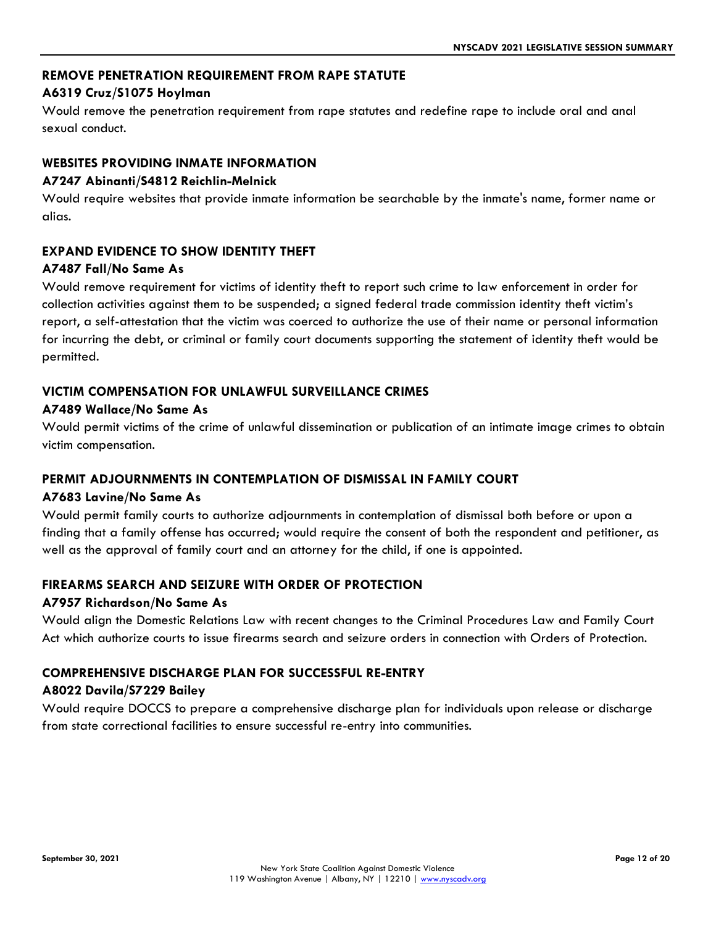#### **REMOVE PENETRATION REQUIREMENT FROM RAPE STATUTE**

#### **A6319 Cruz/S1075 Hoylman**

Would remove the penetration requirement from rape statutes and redefine rape to include oral and anal sexual conduct.

#### **WEBSITES PROVIDING INMATE INFORMATION**

#### **A7247 Abinanti/S4812 Reichlin-Melnick**

Would require websites that provide inmate information be searchable by the inmate's name, former name or alias.

#### **EXPAND EVIDENCE TO SHOW IDENTITY THEFT**

#### **A7487 Fall/No Same As**

Would remove requirement for victims of identity theft to report such crime to law enforcement in order for collection activities against them to be suspended; a signed federal trade commission identity theft victim's report, a self-attestation that the victim was coerced to authorize the use of their name or personal information for incurring the debt, or criminal or family court documents supporting the statement of identity theft would be permitted.

#### **VICTIM COMPENSATION FOR UNLAWFUL SURVEILLANCE CRIMES**

#### **A7489 Wallace/No Same As**

Would permit victims of the crime of unlawful dissemination or publication of an intimate image crimes to obtain victim compensation.

#### **PERMIT ADJOURNMENTS IN CONTEMPLATION OF DISMISSAL IN FAMILY COURT**

#### **A7683 Lavine/No Same As**

Would permit family courts to authorize adjournments in contemplation of dismissal both before or upon a finding that a family offense has occurred; would require the consent of both the respondent and petitioner, as well as the approval of family court and an attorney for the child, if one is appointed.

#### **FIREARMS SEARCH AND SEIZURE WITH ORDER OF PROTECTION**

#### **A7957 Richardson/No Same As**

Would align the Domestic Relations Law with recent changes to the Criminal Procedures Law and Family Court Act which authorize courts to issue firearms search and seizure orders in connection with Orders of Protection.

#### **COMPREHENSIVE DISCHARGE PLAN FOR SUCCESSFUL RE-ENTRY**

#### **A8022 Davila/S7229 Bailey**

Would require DOCCS to prepare a comprehensive discharge plan for individuals upon release or discharge from state correctional facilities to ensure successful re-entry into communities.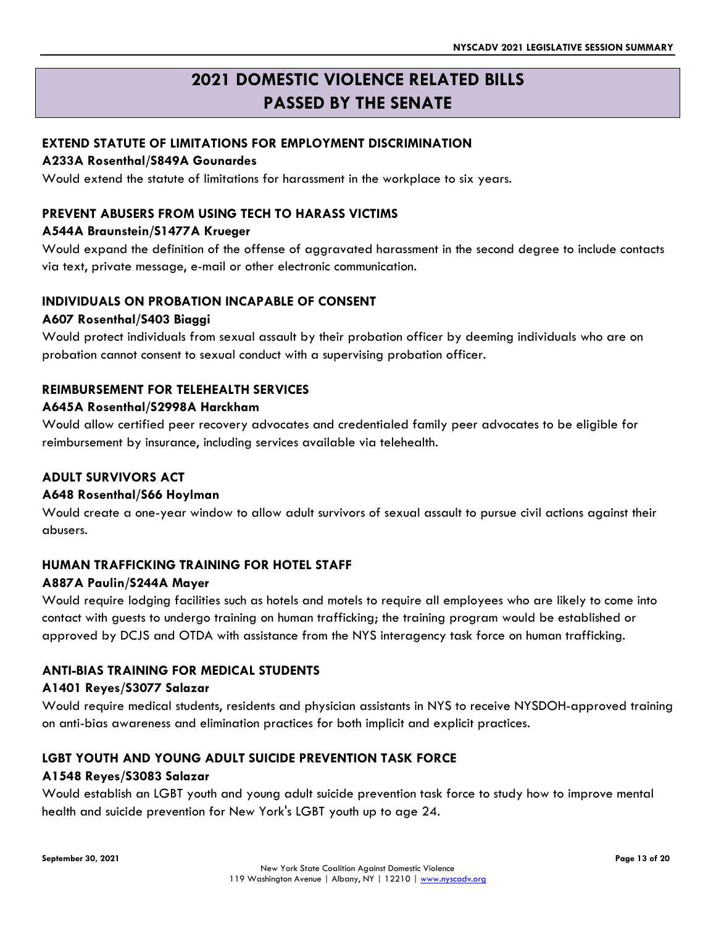## **2021 DOMESTIC VIOLENCE RELATED BILLS PASSED BY THE SENATE**

#### **EXTEND STATUTE OF LIMITATIONS FOR EMPLOYMENT DISCRIMINATION**

#### **A233A Rosenthal/S849A Gounardes**

Would extend the statute of limitations for harassment in the workplace to six years.

#### **PREVENT ABUSERS FROM USING TECH TO HARASS VICTIMS**

#### **A544A Braunstein/S1477A Krueger**

Would expand the definition of the offense of aggravated harassment in the second degree to include contacts via text, private message, e-mail or other electronic communication.

#### **INDIVIDUALS ON PROBATION INCAPABLE OF CONSENT**

#### **A607 Rosenthal/S403 Biaggi**

Would protect individuals from sexual assault by their probation officer by deeming individuals who are on probation cannot consent to sexual conduct with a supervising probation officer.

#### **REIMBURSEMENT FOR TELEHEALTH SERVICES**

#### **A645A Rosenthal/S2998A Harckham**

Would allow certified peer recovery advocates and credentialed family peer advocates to be eligible for reimbursement by insurance, including services available via telehealth.

#### **ADULT SURVIVORS ACT**

#### **A648 Rosenthal/S66 Hoylman**

Would create a one-year window to allow adult survivors of sexual assault to pursue civil actions against their abusers.

#### **HUMAN TRAFFICKING TRAINING FOR HOTEL STAFF**

#### **A887A Paulin/S244A Mayer**

Would require lodging facilities such as hotels and motels to require all employees who are likely to come into contact with guests to undergo training on human trafficking; the training program would be established or approved by DCJS and OTDA with assistance from the NYS interagency task force on human trafficking.

#### **ANTI-BIAS TRAINING FOR MEDICAL STUDENTS**

#### **A1401 Reyes/S3077 Salazar**

Would require medical students, residents and physician assistants in NYS to receive NYSDOH-approved training on anti-bias awareness and elimination practices for both implicit and explicit practices.

#### **LGBT YOUTH AND YOUNG ADULT SUICIDE PREVENTION TASK FORCE**

#### **A1548 Reyes/S3083 Salazar**

Would establish an LGBT youth and young adult suicide prevention task force to study how to improve mental health and suicide prevention for New York's LGBT youth up to age 24.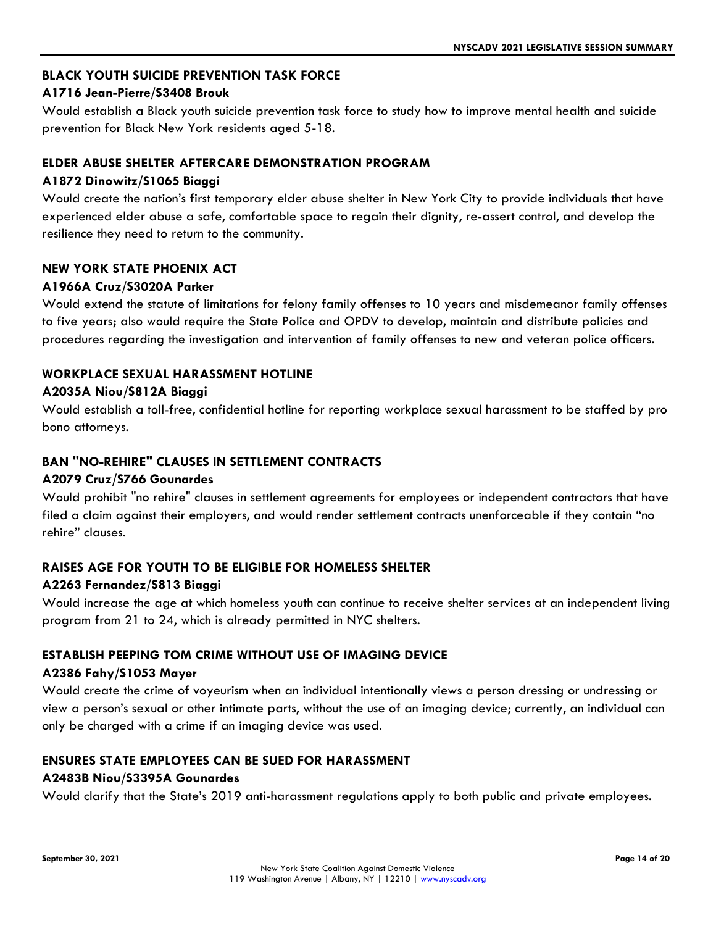#### **BLACK YOUTH SUICIDE PREVENTION TASK FORCE**

### **A1716 Jean-Pierre/S3408 Brouk**

Would establish a Black youth suicide prevention task force to study how to improve mental health and suicide prevention for Black New York residents aged 5-18.

#### **ELDER ABUSE SHELTER AFTERCARE DEMONSTRATION PROGRAM**

#### **A1872 Dinowitz/S1065 Biaggi**

Would create the nation's first temporary elder abuse shelter in New York City to provide individuals that have experienced elder abuse a safe, comfortable space to regain their dignity, re-assert control, and develop the resilience they need to return to the community.

#### **NEW YORK STATE PHOENIX ACT**

#### **A1966A Cruz/S3020A Parker**

Would extend the statute of limitations for felony family offenses to 10 years and misdemeanor family offenses to five years; also would require the State Police and OPDV to develop, maintain and distribute policies and procedures regarding the investigation and intervention of family offenses to new and veteran police officers.

#### **WORKPLACE SEXUAL HARASSMENT HOTLINE**

#### **A2035A Niou/S812A Biaggi**

Would establish a toll-free, confidential hotline for reporting workplace sexual harassment to be staffed by pro bono attorneys.

#### **BAN "NO-REHIRE" CLAUSES IN SETTLEMENT CONTRACTS**

#### **A2079 Cruz/S766 Gounardes**

Would prohibit "no rehire" clauses in settlement agreements for employees or independent contractors that have filed a claim against their employers, and would render settlement contracts unenforceable if they contain "no rehire" clauses.

#### **RAISES AGE FOR YOUTH TO BE ELIGIBLE FOR HOMELESS SHELTER**

#### **A2263 Fernandez/S813 Biaggi**

Would increase the age at which homeless youth can continue to receive shelter services at an independent living program from 21 to 24, which is already permitted in NYC shelters.

#### **ESTABLISH PEEPING TOM CRIME WITHOUT USE OF IMAGING DEVICE**

#### **A2386 Fahy/S1053 Mayer**

Would create the crime of voyeurism when an individual intentionally views a person dressing or undressing or view a person's sexual or other intimate parts, without the use of an imaging device; currently, an individual can only be charged with a crime if an imaging device was used.

#### **ENSURES STATE EMPLOYEES CAN BE SUED FOR HARASSMENT**

#### **A2483B Niou/S3395A Gounardes**

Would clarify that the State's 2019 anti-harassment regulations apply to both public and private employees.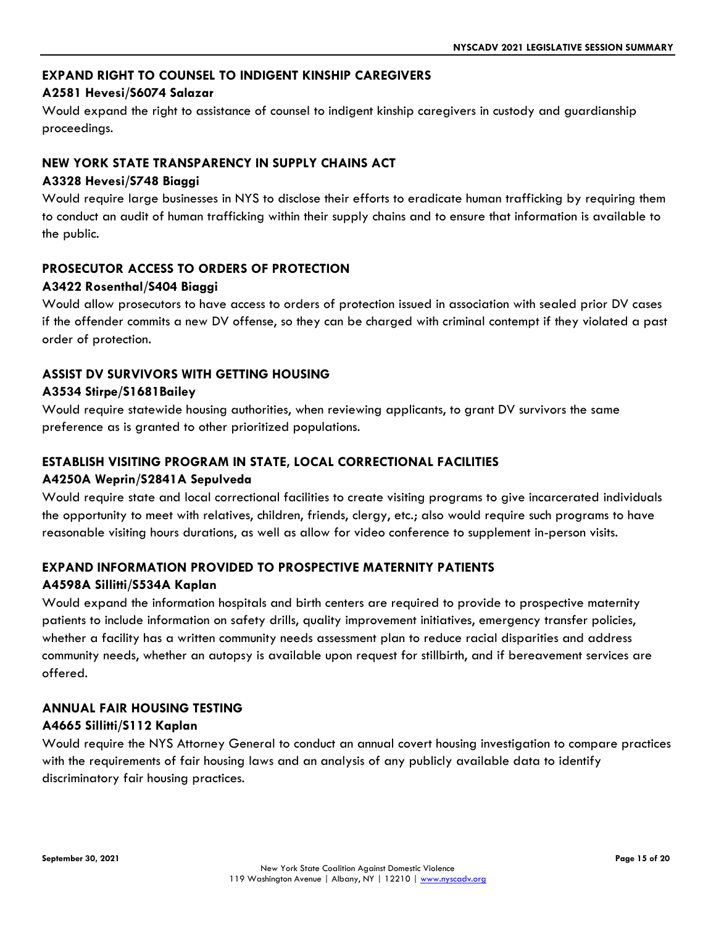#### **EXPAND RIGHT TO COUNSEL TO INDIGENT KINSHIP CAREGIVERS**

#### **A2581 Hevesi/S6074 Salazar**

Would expand the right to assistance of counsel to indigent kinship caregivers in custody and guardianship proceedings.

#### **NEW YORK STATE TRANSPARENCY IN SUPPLY CHAINS ACT**

#### **A3328 Hevesi/S748 Biaggi**

Would require large businesses in NYS to disclose their efforts to eradicate human trafficking by requiring them to conduct an audit of human trafficking within their supply chains and to ensure that information is available to the public.

#### **PROSECUTOR ACCESS TO ORDERS OF PROTECTION**

#### **A3422 Rosenthal/S404 Biaggi**

Would allow prosecutors to have access to orders of protection issued in association with sealed prior DV cases if the offender commits a new DV offense, so they can be charged with criminal contempt if they violated a past order of protection.

### **ASSIST DV SURVIVORS WITH GETTING HOUSING**

#### **A3534 Stirpe/S1681Bailey**

Would require statewide housing authorities, when reviewing applicants, to grant DV survivors the same preference as is granted to other prioritized populations.

#### **ESTABLISH VISITING PROGRAM IN STATE, LOCAL CORRECTIONAL FACILITIES**

#### **A4250A Weprin/S2841A Sepulveda**

Would require state and local correctional facilities to create visiting programs to give incarcerated individuals the opportunity to meet with relatives, children, friends, clergy, etc.; also would require such programs to have reasonable visiting hours durations, as well as allow for video conference to supplement in-person visits.

#### **EXPAND INFORMATION PROVIDED TO PROSPECTIVE MATERNITY PATIENTS**

#### **A4598A Sillitti/S534A Kaplan**

Would expand the information hospitals and birth centers are required to provide to prospective maternity patients to include information on safety drills, quality improvement initiatives, emergency transfer policies, whether a facility has a written community needs assessment plan to reduce racial disparities and address community needs, whether an autopsy is available upon request for stillbirth, and if bereavement services are offered.

#### **ANNUAL FAIR HOUSING TESTING A4665 Sillitti/S112 Kaplan**

Would require the NYS Attorney General to conduct an annual covert housing investigation to compare practices with the requirements of fair housing laws and an analysis of any publicly available data to identify discriminatory fair housing practices.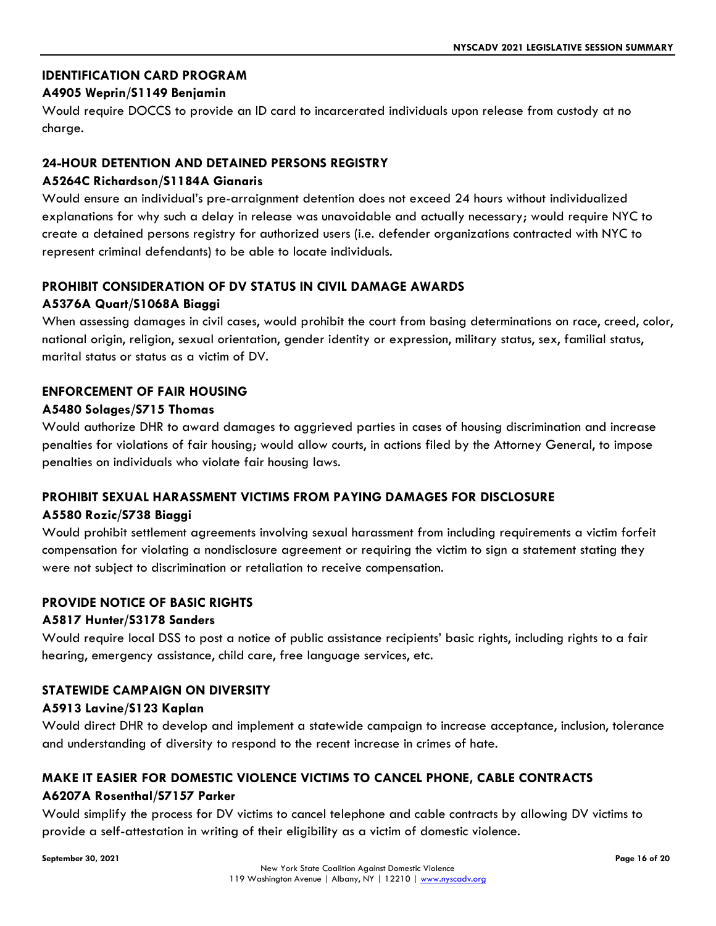#### **IDENTIFICATION CARD PROGRAM**

#### **A4905 Weprin/S1149 Benjamin**

Would require DOCCS to provide an ID card to incarcerated individuals upon release from custody at no charge.

#### **24-HOUR DETENTION AND DETAINED PERSONS REGISTRY**

#### **A5264C Richardson/S1184A Gianaris**

Would ensure an individual's pre-arraignment detention does not exceed 24 hours without individualized explanations for why such a delay in release was unavoidable and actually necessary; would require NYC to create a detained persons registry for authorized users (i.e. defender organizations contracted with NYC to represent criminal defendants) to be able to locate individuals.

#### **PROHIBIT CONSIDERATION OF DV STATUS IN CIVIL DAMAGE AWARDS**

#### **A5376A Quart/S1068A Biaggi**

When assessing damages in civil cases, would prohibit the court from basing determinations on race, creed, color, national origin, religion, sexual orientation, gender identity or expression, military status, sex, familial status, marital status or status as a victim of DV.

#### **ENFORCEMENT OF FAIR HOUSING**

#### **A5480 Solages/S715 Thomas**

Would authorize DHR to award damages to aggrieved parties in cases of housing discrimination and increase penalties for violations of fair housing; would allow courts, in actions filed by the Attorney General, to impose penalties on individuals who violate fair housing laws.

#### **PROHIBIT SEXUAL HARASSMENT VICTIMS FROM PAYING DAMAGES FOR DISCLOSURE**

#### **A5580 Rozic/S738 Biaggi**

Would prohibit settlement agreements involving sexual harassment from including requirements a victim forfeit compensation for violating a nondisclosure agreement or requiring the victim to sign a statement stating they were not subject to discrimination or retaliation to receive compensation.

#### **PROVIDE NOTICE OF BASIC RIGHTS**

#### **A5817 Hunter/S3178 Sanders**

Would require local DSS to post a notice of public assistance recipients' basic rights, including rights to a fair hearing, emergency assistance, child care, free language services, etc.

#### **STATEWIDE CAMPAIGN ON DIVERSITY**

#### **A5913 Lavine/S123 Kaplan**

Would direct DHR to develop and implement a statewide campaign to increase acceptance, inclusion, tolerance and understanding of diversity to respond to the recent increase in crimes of hate.

### **MAKE IT EASIER FOR DOMESTIC VIOLENCE VICTIMS TO CANCEL PHONE, CABLE CONTRACTS A6207A Rosenthal/S7157 Parker**

Would simplify the process for DV victims to cancel telephone and cable contracts by allowing DV victims to provide a self-attestation in writing of their eligibility as a victim of domestic violence.

**September 30, 2021 Page 16 of 20**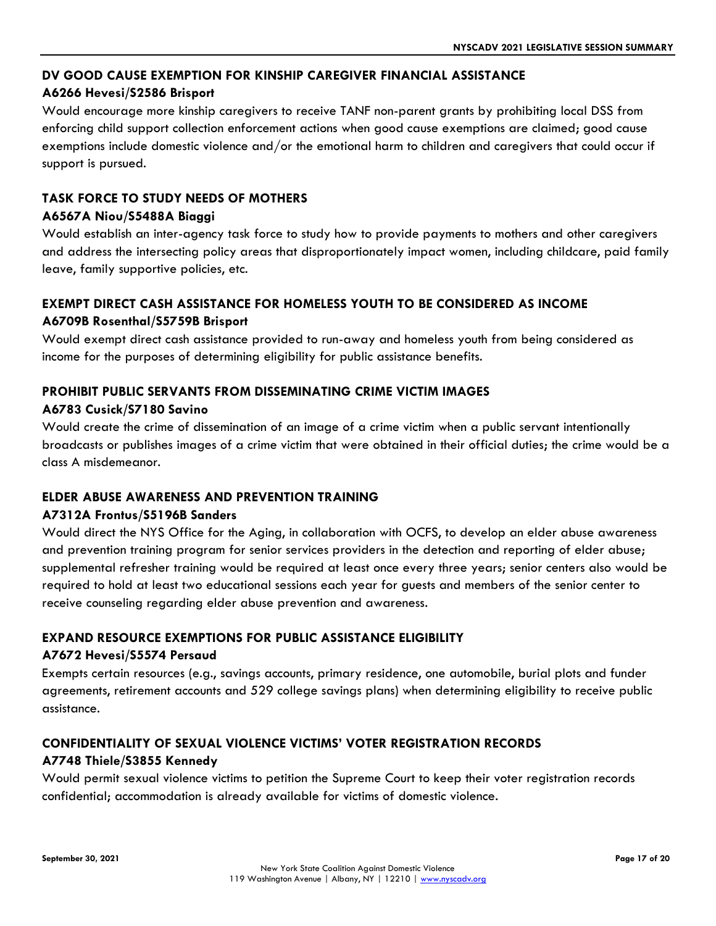#### **DV GOOD CAUSE EXEMPTION FOR KINSHIP CAREGIVER FINANCIAL ASSISTANCE**

#### **A6266 Hevesi/S2586 Brisport**

Would encourage more kinship caregivers to receive TANF non-parent grants by prohibiting local DSS from enforcing child support collection enforcement actions when good cause exemptions are claimed; good cause exemptions include domestic violence and/or the emotional harm to children and caregivers that could occur if support is pursued.

#### **TASK FORCE TO STUDY NEEDS OF MOTHERS A6567A Niou/S5488A Biaggi**

Would establish an inter-agency task force to study how to provide payments to mothers and other caregivers and address the intersecting policy areas that disproportionately impact women, including childcare, paid family leave, family supportive policies, etc.

#### **EXEMPT DIRECT CASH ASSISTANCE FOR HOMELESS YOUTH TO BE CONSIDERED AS INCOME A6709B Rosenthal/S5759B Brisport**

Would exempt direct cash assistance provided to run-away and homeless youth from being considered as income for the purposes of determining eligibility for public assistance benefits.

### **PROHIBIT PUBLIC SERVANTS FROM DISSEMINATING CRIME VICTIM IMAGES**

#### **A6783 Cusick/S7180 Savino**

Would create the crime of dissemination of an image of a crime victim when a public servant intentionally broadcasts or publishes images of a crime victim that were obtained in their official duties; the crime would be a class A misdemeanor.

#### **ELDER ABUSE AWARENESS AND PREVENTION TRAINING**

#### **A7312A Frontus/S5196B Sanders**

Would direct the NYS Office for the Aging, in collaboration with OCFS, to develop an elder abuse awareness and prevention training program for senior services providers in the detection and reporting of elder abuse; supplemental refresher training would be required at least once every three years; senior centers also would be required to hold at least two educational sessions each year for guests and members of the senior center to receive counseling regarding elder abuse prevention and awareness.

#### **EXPAND RESOURCE EXEMPTIONS FOR PUBLIC ASSISTANCE ELIGIBILITY**

#### **A7672 Hevesi/S5574 Persaud**

Exempts certain resources (e.g., savings accounts, primary residence, one automobile, burial plots and funder agreements, retirement accounts and 529 college savings plans) when determining eligibility to receive public assistance.

## **CONFIDENTIALITY OF SEXUAL VIOLENCE VICTIMS' VOTER REGISTRATION RECORDS**

#### **A7748 Thiele/S3855 Kennedy**

Would permit sexual violence victims to petition the Supreme Court to keep their voter registration records confidential; accommodation is already available for victims of domestic violence.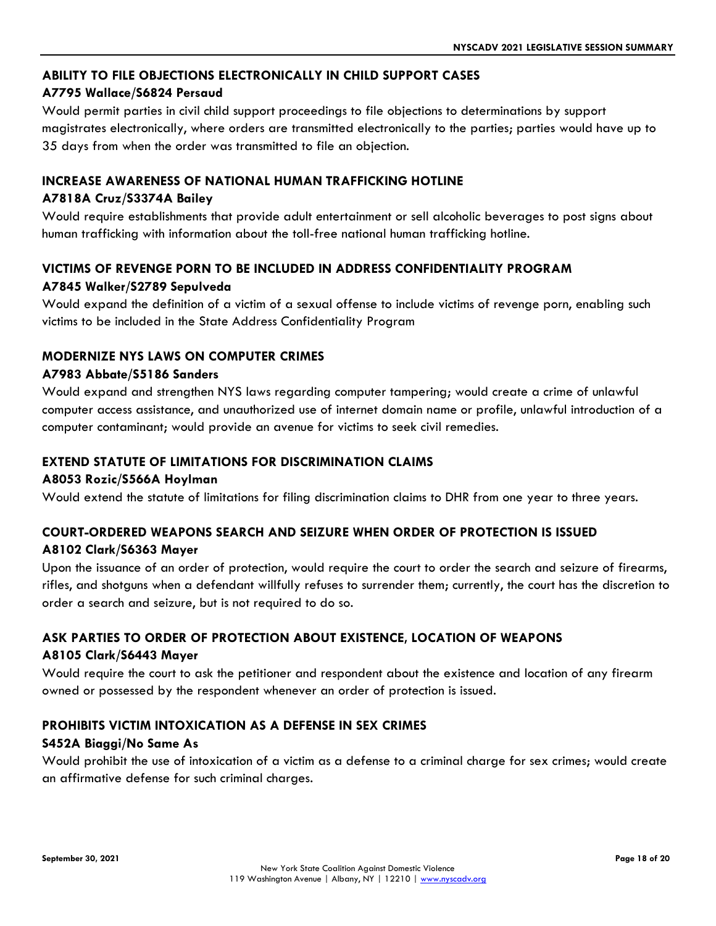#### **ABILITY TO FILE OBJECTIONS ELECTRONICALLY IN CHILD SUPPORT CASES**

#### **A7795 Wallace/S6824 Persaud**

Would permit parties in civil child support proceedings to file objections to determinations by support magistrates electronically, where orders are transmitted electronically to the parties; parties would have up to 35 days from when the order was transmitted to file an objection.

#### **INCREASE AWARENESS OF NATIONAL HUMAN TRAFFICKING HOTLINE**

#### **A7818A Cruz/S3374A Bailey**

Would require establishments that provide adult entertainment or sell alcoholic beverages to post signs about human trafficking with information about the toll-free national human trafficking hotline.

#### **VICTIMS OF REVENGE PORN TO BE INCLUDED IN ADDRESS CONFIDENTIALITY PROGRAM A7845 Walker/S2789 Sepulveda**

Would expand the definition of a victim of a sexual offense to include victims of revenge porn, enabling such victims to be included in the State Address Confidentiality Program

#### **MODERNIZE NYS LAWS ON COMPUTER CRIMES**

#### **A7983 Abbate/S5186 Sanders**

Would expand and strengthen NYS laws regarding computer tampering; would create a crime of unlawful computer access assistance, and unauthorized use of internet domain name or profile, unlawful introduction of a computer contaminant; would provide an avenue for victims to seek civil remedies.

#### **EXTEND STATUTE OF LIMITATIONS FOR DISCRIMINATION CLAIMS**

#### **A8053 Rozic/S566A Hoylman**

Would extend the statute of limitations for filing discrimination claims to DHR from one year to three years.

#### **COURT-ORDERED WEAPONS SEARCH AND SEIZURE WHEN ORDER OF PROTECTION IS ISSUED A8102 Clark/S6363 Mayer**

Upon the issuance of an order of protection, would require the court to order the search and seizure of firearms, rifles, and shotguns when a defendant willfully refuses to surrender them; currently, the court has the discretion to order a search and seizure, but is not required to do so.

### **ASK PARTIES TO ORDER OF PROTECTION ABOUT EXISTENCE, LOCATION OF WEAPONS**

#### **A8105 Clark/S6443 Mayer**

Would require the court to ask the petitioner and respondent about the existence and location of any firearm owned or possessed by the respondent whenever an order of protection is issued.

#### **PROHIBITS VICTIM INTOXICATION AS A DEFENSE IN SEX CRIMES**

#### **S452A Biaggi/No Same As**

Would prohibit the use of intoxication of a victim as a defense to a criminal charge for sex crimes; would create an affirmative defense for such criminal charges.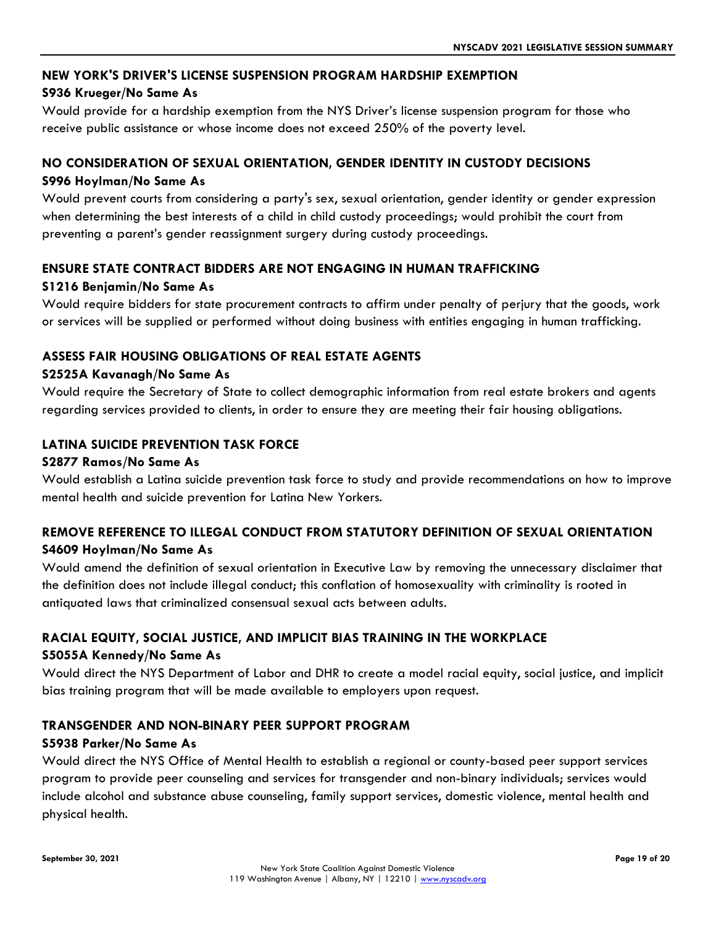#### **NEW YORK'S DRIVER'S LICENSE SUSPENSION PROGRAM HARDSHIP EXEMPTION**

#### **S936 Krueger/No Same As**

Would provide for a hardship exemption from the NYS Driver's license suspension program for those who receive public assistance or whose income does not exceed 250% of the poverty level.

### **NO CONSIDERATION OF SEXUAL ORIENTATION, GENDER IDENTITY IN CUSTODY DECISIONS S996 Hoylman/No Same As**

Would prevent courts from considering a party's sex, sexual orientation, gender identity or gender expression when determining the best interests of a child in child custody proceedings; would prohibit the court from preventing a parent's gender reassignment surgery during custody proceedings.

### **ENSURE STATE CONTRACT BIDDERS ARE NOT ENGAGING IN HUMAN TRAFFICKING**

#### **S1216 Benjamin/No Same As**

Would require bidders for state procurement contracts to affirm under penalty of perjury that the goods, work or services will be supplied or performed without doing business with entities engaging in human trafficking.

#### **ASSESS FAIR HOUSING OBLIGATIONS OF REAL ESTATE AGENTS**

#### **S2525A Kavanagh/No Same As**

Would require the Secretary of State to collect demographic information from real estate brokers and agents regarding services provided to clients, in order to ensure they are meeting their fair housing obligations.

#### **LATINA SUICIDE PREVENTION TASK FORCE**

#### **S2877 Ramos/No Same As**

Would establish a Latina suicide prevention task force to study and provide recommendations on how to improve mental health and suicide prevention for Latina New Yorkers.

### **REMOVE REFERENCE TO ILLEGAL CONDUCT FROM STATUTORY DEFINITION OF SEXUAL ORIENTATION S4609 Hoylman/No Same As**

Would amend the definition of sexual orientation in Executive Law by removing the unnecessary disclaimer that the definition does not include illegal conduct; this conflation of homosexuality with criminality is rooted in antiquated laws that criminalized consensual sexual acts between adults.

### **RACIAL EQUITY, SOCIAL JUSTICE, AND IMPLICIT BIAS TRAINING IN THE WORKPLACE**

#### **S5055A Kennedy/No Same As**

Would direct the NYS Department of Labor and DHR to create a model racial equity, social justice, and implicit bias training program that will be made available to employers upon request.

#### **TRANSGENDER AND NON-BINARY PEER SUPPORT PROGRAM**

#### **S5938 Parker/No Same As**

Would direct the NYS Office of Mental Health to establish a regional or county-based peer support services program to provide peer counseling and services for transgender and non-binary individuals; services would include alcohol and substance abuse counseling, family support services, domestic violence, mental health and physical health.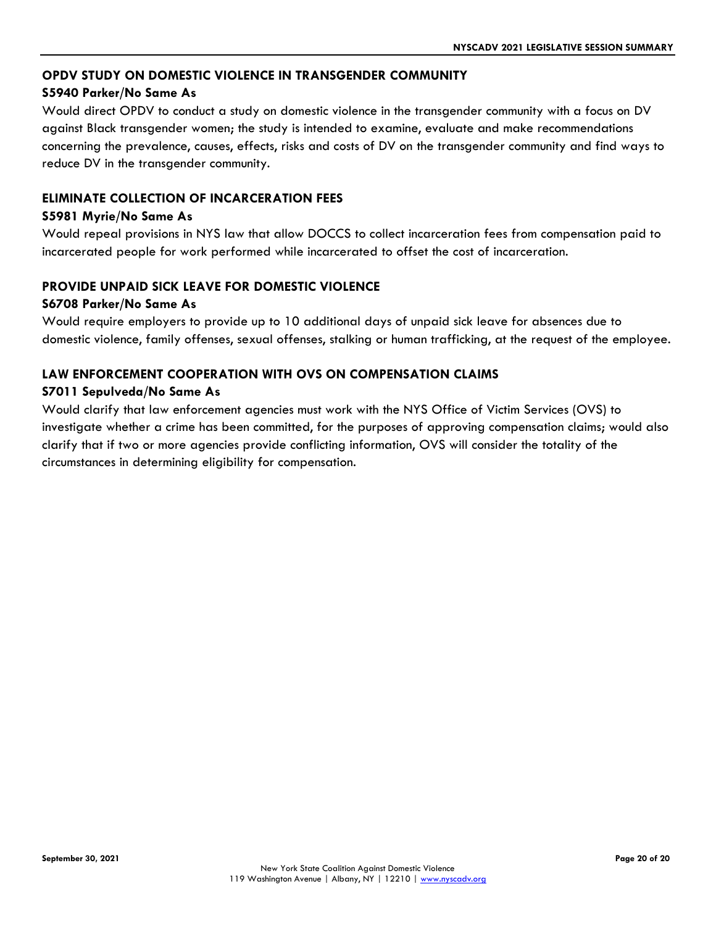#### **OPDV STUDY ON DOMESTIC VIOLENCE IN TRANSGENDER COMMUNITY**

#### **S5940 Parker/No Same As**

Would direct OPDV to conduct a study on domestic violence in the transgender community with a focus on DV against Black transgender women; the study is intended to examine, evaluate and make recommendations concerning the prevalence, causes, effects, risks and costs of DV on the transgender community and find ways to reduce DV in the transgender community.

#### **ELIMINATE COLLECTION OF INCARCERATION FEES**

#### **S5981 Myrie/No Same As**

Would repeal provisions in NYS law that allow DOCCS to collect incarceration fees from compensation paid to incarcerated people for work performed while incarcerated to offset the cost of incarceration.

#### **PROVIDE UNPAID SICK LEAVE FOR DOMESTIC VIOLENCE**

#### **S6708 Parker/No Same As**

Would require employers to provide up to 10 additional days of unpaid sick leave for absences due to domestic violence, family offenses, sexual offenses, stalking or human trafficking, at the request of the employee.

#### **LAW ENFORCEMENT COOPERATION WITH OVS ON COMPENSATION CLAIMS**

#### **S7011 Sepulveda/No Same As**

Would clarify that law enforcement agencies must work with the NYS Office of Victim Services (OVS) to investigate whether a crime has been committed, for the purposes of approving compensation claims; would also clarify that if two or more agencies provide conflicting information, OVS will consider the totality of the circumstances in determining eligibility for compensation.